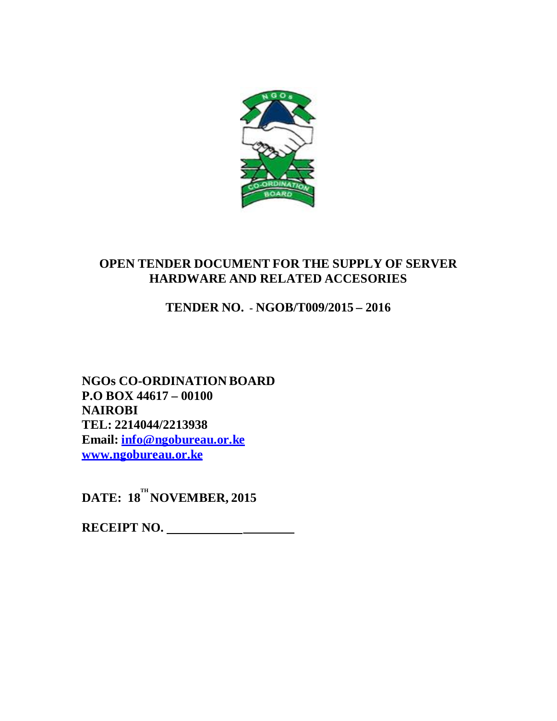

# **OPEN TENDER DOCUMENT FOR THE SUPPLY OF SERVER HARDWARE AND RELATED ACCESORIES**

# **TENDER NO. - NGOB/T009/2015 – 2016**

**NGOs CO-ORDINATION BOARD P.O BOX 44617 – 00100 NAIROBI TEL: 2214044/2213938 Email: info@ngobureau.or.ke www.ngobureau.or.ke**

 $\mathbf{DATE:}$   $\mathbf{18}^{\mathrm{TH}}$  **NOVEMBER, 2015** 

**RECEIPT NO.**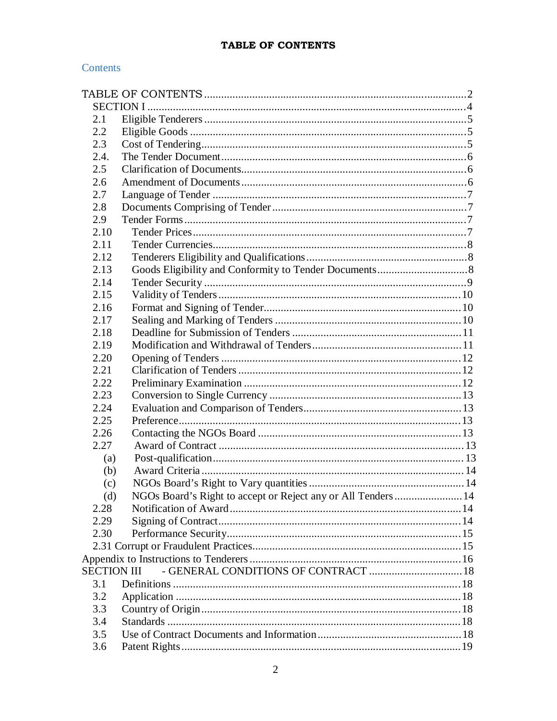## TABLE OF CONTENTS

## Contents

| 2.1                |                                                               |  |
|--------------------|---------------------------------------------------------------|--|
| 2.2                |                                                               |  |
| 2.3                |                                                               |  |
| 2.4.               |                                                               |  |
| 2.5                |                                                               |  |
| 2.6                |                                                               |  |
| 2.7                |                                                               |  |
| 2.8                |                                                               |  |
| 2.9                |                                                               |  |
| 2.10               |                                                               |  |
| 2.11               |                                                               |  |
| 2.12               |                                                               |  |
| 2.13               |                                                               |  |
| 2.14               |                                                               |  |
| 2.15               |                                                               |  |
| 2.16               |                                                               |  |
| 2.17               |                                                               |  |
| 2.18               |                                                               |  |
| 2.19               |                                                               |  |
| 2.20               |                                                               |  |
| 2.21               |                                                               |  |
| 2.22               |                                                               |  |
| 2.23               |                                                               |  |
| 2.24               |                                                               |  |
| 2.25               |                                                               |  |
| 2.26               |                                                               |  |
| 2.27               |                                                               |  |
| (a)                |                                                               |  |
| (b)                |                                                               |  |
| (c)                |                                                               |  |
| (d)                | NGOs Board's Right to accept or Reject any or All Tenders  14 |  |
| 2.28               |                                                               |  |
| 2.29               |                                                               |  |
| 2.30               |                                                               |  |
|                    |                                                               |  |
|                    |                                                               |  |
| <b>SECTION III</b> | - GENERAL CONDITIONS OF CONTRACT  18                          |  |
| 3.1                |                                                               |  |
| 3.2                |                                                               |  |
| 3.3                |                                                               |  |
| 3.4                |                                                               |  |
| 3.5                |                                                               |  |
| 3.6                |                                                               |  |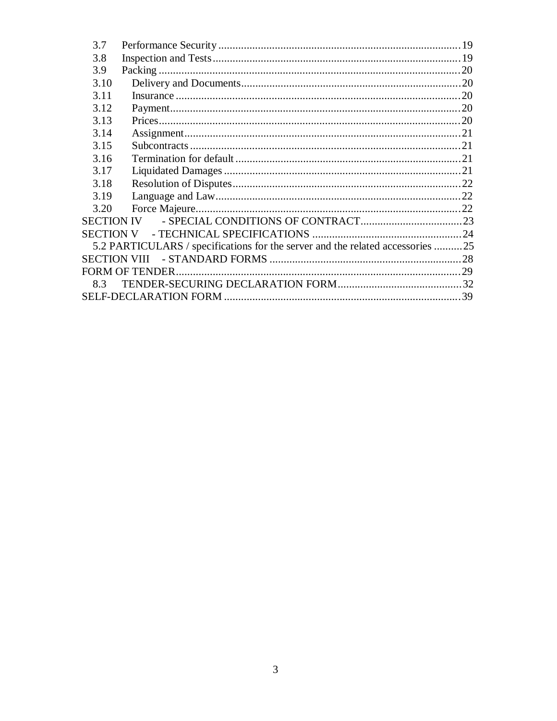| 3.7               |                                                                                |  |
|-------------------|--------------------------------------------------------------------------------|--|
| 3.8               |                                                                                |  |
| 3.9               |                                                                                |  |
| 3.10              |                                                                                |  |
| 3.11              |                                                                                |  |
| 3.12              |                                                                                |  |
| 3.13              |                                                                                |  |
| 3.14              |                                                                                |  |
| 3.15              |                                                                                |  |
| 3.16              |                                                                                |  |
| 3.17              |                                                                                |  |
| 3.18              |                                                                                |  |
| 3.19              |                                                                                |  |
| 3.20              |                                                                                |  |
| <b>SECTION IV</b> |                                                                                |  |
| <b>SECTION V</b>  |                                                                                |  |
|                   | 5.2 PARTICULARS / specifications for the server and the related accessories 25 |  |
|                   | SECTION VIII                                                                   |  |
|                   |                                                                                |  |
| 8.3               |                                                                                |  |
|                   |                                                                                |  |
|                   |                                                                                |  |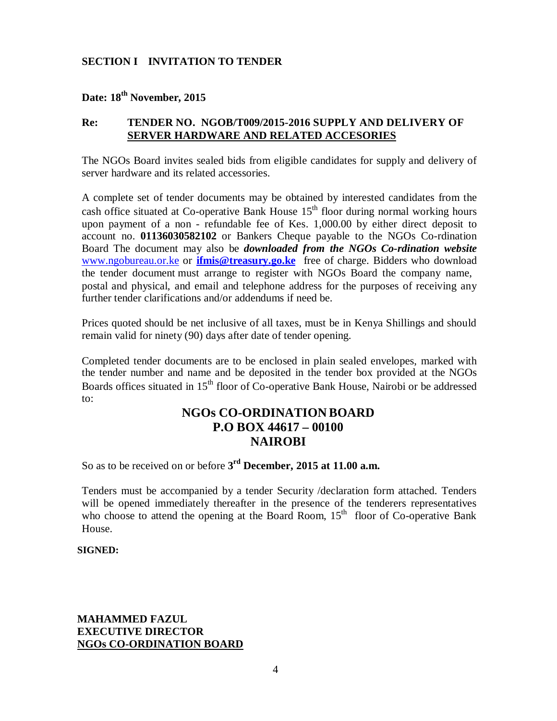## **SECTION I INVITATION TO TENDER**

## **Date: 18 th November, 2015**

## **Re: TENDER NO. NGOB/T009/2015-2016 SUPPLY AND DELIVERY OF SERVER HARDWARE AND RELATED ACCESORIES**

The NGOs Board invites sealed bids from eligible candidates for supply and delivery of server hardware and its related accessories.

A complete set of tender documents may be obtained by interested candidates from the cash office situated at Co-operative Bank House 15<sup>th</sup> floor during normal working hours upon payment of a non - refundable fee of Kes. 1,000.00 by either direct deposit to account no. **01136030582102** or Bankers Cheque payable to the NGOs Co-rdination Board The document may also be *downloaded from the NGOs Co-rdination website* www.ngobureau.or.ke or **ifmis@treasury.go.ke** free of charge. Bidders who download the tender document must arrange to register with NGOs Board the company name, postal and physical, and email and telephone address for the purposes of receiving any further tender clarifications and/or addendums if need be.

Prices quoted should be net inclusive of all taxes, must be in Kenya Shillings and should remain valid for ninety (90) days after date of tender opening.

Completed tender documents are to be enclosed in plain sealed envelopes, marked with the tender number and name and be deposited in the tender box provided at the NGOs Boards offices situated in 15<sup>th</sup> floor of Co-operative Bank House, Nairobi or be addressed to:

## **NGOs CO-ORDINATION BOARD P.O BOX 44617 – 00100 NAIROBI**

So as to be received on or before **3 rd December, 2015 at 11.00 a.m.**

Tenders must be accompanied by a tender Security /declaration form attached. Tenders will be opened immediately thereafter in the presence of the tenderers representatives who choose to attend the opening at the Board Room,  $15<sup>th</sup>$  floor of Co-operative Bank House.

#### **SIGNED:**

## **MAHAMMED FAZUL EXECUTIVE DIRECTOR NGOs CO-ORDINATION BOARD**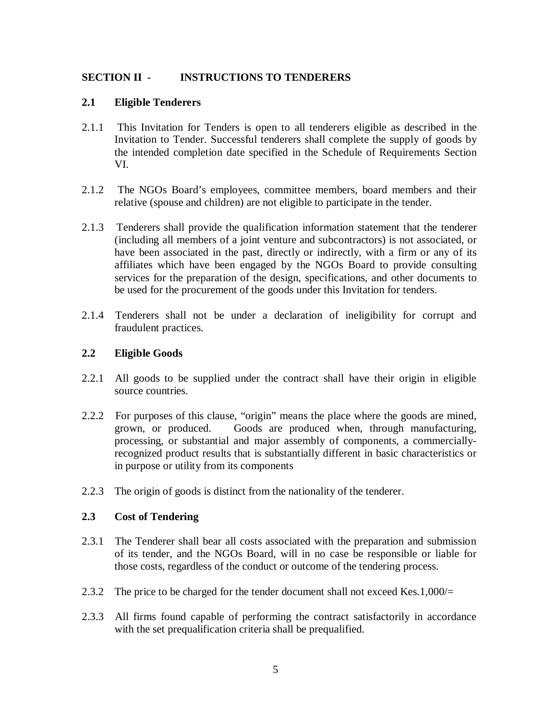## **SECTION II - INSTRUCTIONS TO TENDERERS**

### **2.1 Eligible Tenderers**

- 2.1.1 This Invitation for Tenders is open to all tenderers eligible as described in the Invitation to Tender. Successful tenderers shall complete the supply of goods by the intended completion date specified in the Schedule of Requirements Section VI.
- 2.1.2 The NGOs Board's employees, committee members, board members and their relative (spouse and children) are not eligible to participate in the tender.
- 2.1.3 Tenderers shall provide the qualification information statement that the tenderer (including all members of a joint venture and subcontractors) is not associated, or have been associated in the past, directly or indirectly, with a firm or any of its affiliates which have been engaged by the NGOs Board to provide consulting services for the preparation of the design, specifications, and other documents to be used for the procurement of the goods under this Invitation for tenders.
- 2.1.4 Tenderers shall not be under a declaration of ineligibility for corrupt and fraudulent practices.

## **2.2 Eligible Goods**

- 2.2.1 All goods to be supplied under the contract shall have their origin in eligible source countries.
- 2.2.2 For purposes of this clause, "origin" means the place where the goods are mined, grown, or produced. Goods are produced when, through manufacturing, processing, or substantial and major assembly of components, a commerciallyrecognized product results that is substantially different in basic characteristics or in purpose or utility from its components
- 2.2.3 The origin of goods is distinct from the nationality of the tenderer.

## **2.3 Cost of Tendering**

- 2.3.1 The Tenderer shall bear all costs associated with the preparation and submission of its tender, and the NGOs Board, will in no case be responsible or liable for those costs, regardless of the conduct or outcome of the tendering process.
- 2.3.2 The price to be charged for the tender document shall not exceed Kes.1,000/ $=$
- 2.3.3 All firms found capable of performing the contract satisfactorily in accordance with the set prequalification criteria shall be prequalified.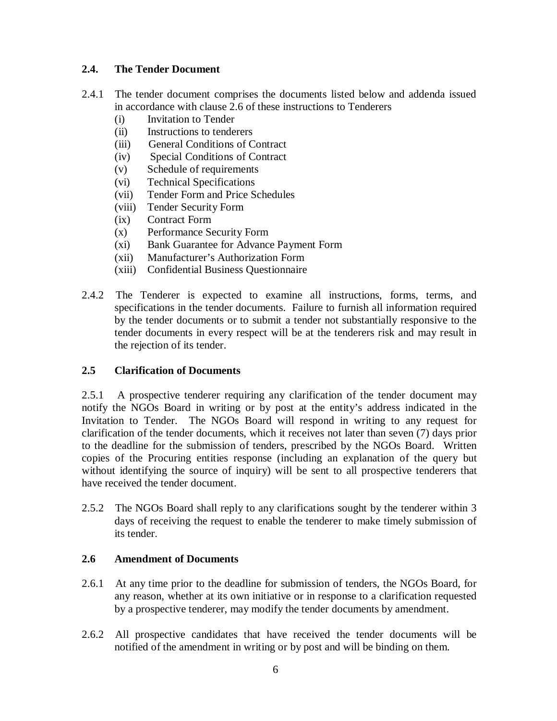## **2.4. The Tender Document**

- 2.4.1 The tender document comprises the documents listed below and addenda issued in accordance with clause 2.6 of these instructions to Tenderers
	- (i) Invitation to Tender
	- (ii) Instructions to tenderers
	- (iii) General Conditions of Contract
	- (iv) Special Conditions of Contract
	- (v) Schedule of requirements
	- (vi) Technical Specifications
	- (vii) Tender Form and Price Schedules
	- (viii) Tender Security Form
	- (ix) Contract Form
	- (x) Performance Security Form
	- (xi) Bank Guarantee for Advance Payment Form
	- (xii) Manufacturer's Authorization Form
	- (xiii) Confidential Business Questionnaire
- 2.4.2 The Tenderer is expected to examine all instructions, forms, terms, and specifications in the tender documents. Failure to furnish all information required by the tender documents or to submit a tender not substantially responsive to the tender documents in every respect will be at the tenderers risk and may result in the rejection of its tender.

## **2.5 Clarification of Documents**

2.5.1 A prospective tenderer requiring any clarification of the tender document may notify the NGOs Board in writing or by post at the entity's address indicated in the Invitation to Tender. The NGOs Board will respond in writing to any request for clarification of the tender documents, which it receives not later than seven (7) days prior to the deadline for the submission of tenders, prescribed by the NGOs Board. Written copies of the Procuring entities response (including an explanation of the query but without identifying the source of inquiry) will be sent to all prospective tenderers that have received the tender document.

2.5.2 The NGOs Board shall reply to any clarifications sought by the tenderer within 3 days of receiving the request to enable the tenderer to make timely submission of its tender.

#### **2.6 Amendment of Documents**

- 2.6.1 At any time prior to the deadline for submission of tenders, the NGOs Board, for any reason, whether at its own initiative or in response to a clarification requested by a prospective tenderer, may modify the tender documents by amendment.
- 2.6.2 All prospective candidates that have received the tender documents will be notified of the amendment in writing or by post and will be binding on them.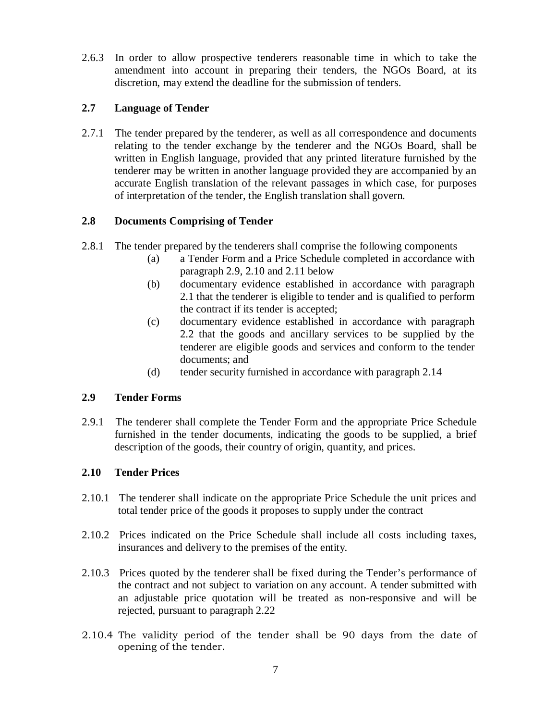2.6.3 In order to allow prospective tenderers reasonable time in which to take the amendment into account in preparing their tenders, the NGOs Board, at its discretion, may extend the deadline for the submission of tenders.

## **2.7 Language of Tender**

2.7.1 The tender prepared by the tenderer, as well as all correspondence and documents relating to the tender exchange by the tenderer and the NGOs Board, shall be written in English language, provided that any printed literature furnished by the tenderer may be written in another language provided they are accompanied by an accurate English translation of the relevant passages in which case, for purposes of interpretation of the tender, the English translation shall govern.

## **2.8 Documents Comprising of Tender**

- 2.8.1 The tender prepared by the tenderers shall comprise the following components
	- (a) a Tender Form and a Price Schedule completed in accordance with paragraph 2.9, 2.10 and 2.11 below
	- (b) documentary evidence established in accordance with paragraph 2.1 that the tenderer is eligible to tender and is qualified to perform the contract if its tender is accepted;
	- (c) documentary evidence established in accordance with paragraph 2.2 that the goods and ancillary services to be supplied by the tenderer are eligible goods and services and conform to the tender documents; and
	- (d) tender security furnished in accordance with paragraph 2.14

## **2.9 Tender Forms**

2.9.1 The tenderer shall complete the Tender Form and the appropriate Price Schedule furnished in the tender documents, indicating the goods to be supplied, a brief description of the goods, their country of origin, quantity, and prices.

## **2.10 Tender Prices**

- 2.10.1 The tenderer shall indicate on the appropriate Price Schedule the unit prices and total tender price of the goods it proposes to supply under the contract
- 2.10.2 Prices indicated on the Price Schedule shall include all costs including taxes, insurances and delivery to the premises of the entity.
- 2.10.3 Prices quoted by the tenderer shall be fixed during the Tender's performance of the contract and not subject to variation on any account. A tender submitted with an adjustable price quotation will be treated as non-responsive and will be rejected, pursuant to paragraph 2.22
- 2.10.4 The validity period of the tender shall be 90 days from the date of opening of the tender.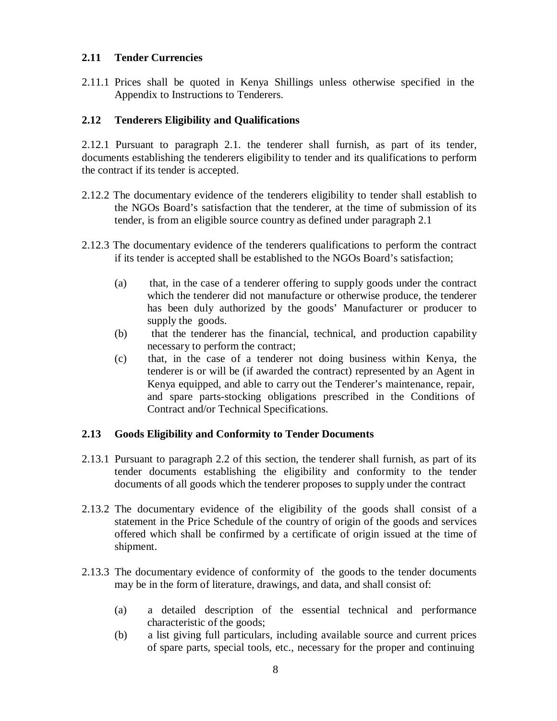## **2.11 Tender Currencies**

2.11.1 Prices shall be quoted in Kenya Shillings unless otherwise specified in the Appendix to Instructions to Tenderers.

## **2.12 Tenderers Eligibility and Qualifications**

2.12.1 Pursuant to paragraph 2.1. the tenderer shall furnish, as part of its tender, documents establishing the tenderers eligibility to tender and its qualifications to perform the contract if its tender is accepted.

- 2.12.2 The documentary evidence of the tenderers eligibility to tender shall establish to the NGOs Board's satisfaction that the tenderer, at the time of submission of its tender, is from an eligible source country as defined under paragraph 2.1
- 2.12.3 The documentary evidence of the tenderers qualifications to perform the contract if its tender is accepted shall be established to the NGOs Board's satisfaction;
	- (a) that, in the case of a tenderer offering to supply goods under the contract which the tenderer did not manufacture or otherwise produce, the tenderer has been duly authorized by the goods' Manufacturer or producer to supply the goods.
	- (b) that the tenderer has the financial, technical, and production capability necessary to perform the contract;
	- (c) that, in the case of a tenderer not doing business within Kenya, the tenderer is or will be (if awarded the contract) represented by an Agent in Kenya equipped, and able to carry out the Tenderer's maintenance, repair, and spare parts-stocking obligations prescribed in the Conditions of Contract and/or Technical Specifications.

#### **2.13 Goods Eligibility and Conformity to Tender Documents**

- 2.13.1 Pursuant to paragraph 2.2 of this section, the tenderer shall furnish, as part of its tender documents establishing the eligibility and conformity to the tender documents of all goods which the tenderer proposes to supply under the contract
- 2.13.2 The documentary evidence of the eligibility of the goods shall consist of a statement in the Price Schedule of the country of origin of the goods and services offered which shall be confirmed by a certificate of origin issued at the time of shipment.
- $2.13.3$  The documentary evidence of conformity of the goods to the tender documents may be in the form of literature, drawings, and data, and shall consist of:
	- (a) a detailed description of the essential technical and performance characteristic of the goods;
	- (b) a list giving full particulars, including available source and current prices of spare parts, special tools, etc., necessary for the proper and continuing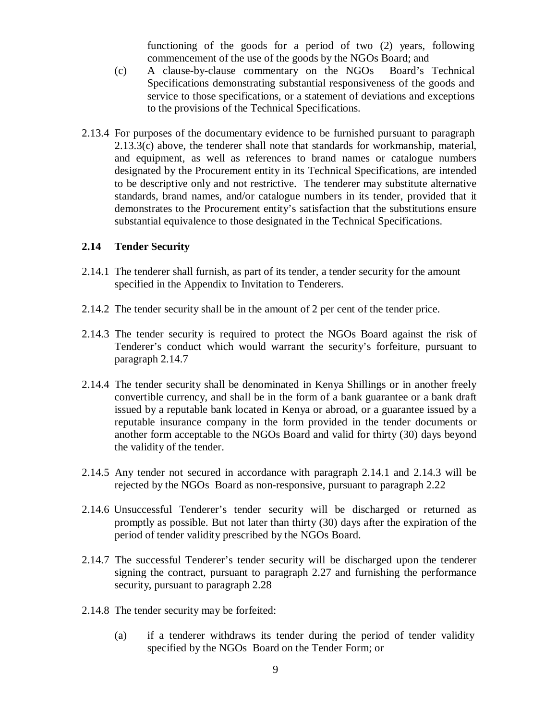functioning of the goods for a period of two (2) years, following commencement of the use of the goods by the NGOs Board; and

- (c) A clause-by-clause commentary on the NGOs Board's Technical Specifications demonstrating substantial responsiveness of the goods and service to those specifications, or a statement of deviations and exceptions to the provisions of the Technical Specifications.
- 2.13.4 For purposes of the documentary evidence to be furnished pursuant to paragraph 2.13.3(c) above, the tenderer shall note that standards for workmanship, material, and equipment, as well as references to brand names or catalogue numbers designated by the Procurement entity in its Technical Specifications, are intended to be descriptive only and not restrictive. The tenderer may substitute alternative standards, brand names, and/or catalogue numbers in its tender, provided that it demonstrates to the Procurement entity's satisfaction that the substitutions ensure substantial equivalence to those designated in the Technical Specifications.

#### **2.14 Tender Security**

- 2.14.1 The tenderer shall furnish, as part of its tender, a tender security for the amount specified in the Appendix to Invitation to Tenderers.
- 2.14.2 The tender security shall be in the amount of 2 per cent of the tender price.
- 2.14.3 The tender security is required to protect the NGOs Board against the risk of Tenderer's conduct which would warrant the security's forfeiture, pursuant to paragraph 2.14.7
- 2.14.4 The tender security shall be denominated in Kenya Shillings or in another freely convertible currency, and shall be in the form of a bank guarantee or a bank draft issued by a reputable bank located in Kenya or abroad, or a guarantee issued by a reputable insurance company in the form provided in the tender documents or another form acceptable to the NGOs Board and valid for thirty (30) days beyond the validity of the tender.
- 2.14.5 Any tender not secured in accordance with paragraph 2.14.1 and 2.14.3 will be rejected by the NGOs Board as non-responsive, pursuant to paragraph 2.22
- 2.14.6 Unsuccessful Tenderer's tender security will be discharged or returned as promptly as possible. But not later than thirty  $(30)$  days after the expiration of the period of tender validity prescribed by the NGOs Board.
- 2.14.7 The successful Tenderer's tender security will be discharged upon the tenderer signing the contract, pursuant to paragraph 2.27 and furnishing the performance security, pursuant to paragraph 2.28
- 2.14.8 The tender security may be forfeited:
	- (a) if a tenderer withdraws its tender during the period of tender validity specified by the NGOs Board on the Tender Form; or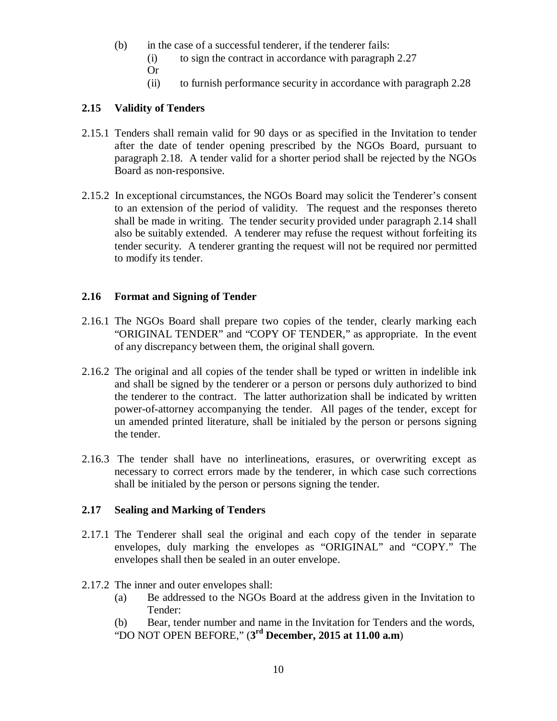- (b) in the case of a successful tenderer, if the tenderer fails:
	- (i) to sign the contract in accordance with paragraph 2.27
	- Or
	- (ii) to furnish performance security in accordance with paragraph 2.28

## **2.15 Validity of Tenders**

- 2.15.1 Tenders shall remain valid for 90 days or as specified in the Invitation to tender after the date of tender opening prescribed by the NGOs Board, pursuant to paragraph 2.18. A tender valid for a shorter period shall be rejected by the NGOs Board as non-responsive.
- 2.15.2 In exceptional circumstances, the NGOs Board may solicit the Tenderer's consent to an extension of the period of validity. The request and the responses thereto shall be made in writing. The tender security provided under paragraph 2.14 shall also be suitably extended. A tenderer may refuse the request without forfeiting its tender security. A tenderer granting the request will not be required nor permitted to modify its tender.

## **2.16 Format and Signing of Tender**

- 2.16.1 The NGOs Board shall prepare two copies of the tender, clearly marking each "ORIGINAL TENDER" and "COPY OF TENDER," as appropriate. In the event of any discrepancy between them, the original shall govern.
- 2.16.2 The original and all copies of the tender shall be typed or written in indelible ink and shall be signed by the tenderer or a person or persons duly authorized to bind the tenderer to the contract. The latter authorization shall be indicated by written power-of-attorney accompanying the tender. All pages of the tender, except for un amended printed literature, shall be initialed by the person or persons signing the tender.
- 2.16.3 The tender shall have no interlineations, erasures, or overwriting except as necessary to correct errors made by the tenderer, in which case such corrections shall be initialed by the person or persons signing the tender.

#### **2.17 Sealing and Marking of Tenders**

- 2.17.1 The Tenderer shall seal the original and each copy of the tender in separate envelopes, duly marking the envelopes as "ORIGINAL" and "COPY." The envelopes shall then be sealed in an outer envelope.
- 2.17.2 The inner and outer envelopes shall:
	- (a) Be addressed to the NGOs Board at the address given in the Invitation to Tender:
	- (b) Bear, tender number and name in the Invitation for Tenders and the words, "DO NOT OPEN BEFORE," (**3 rd December, 2015 at 11.00 a.m**)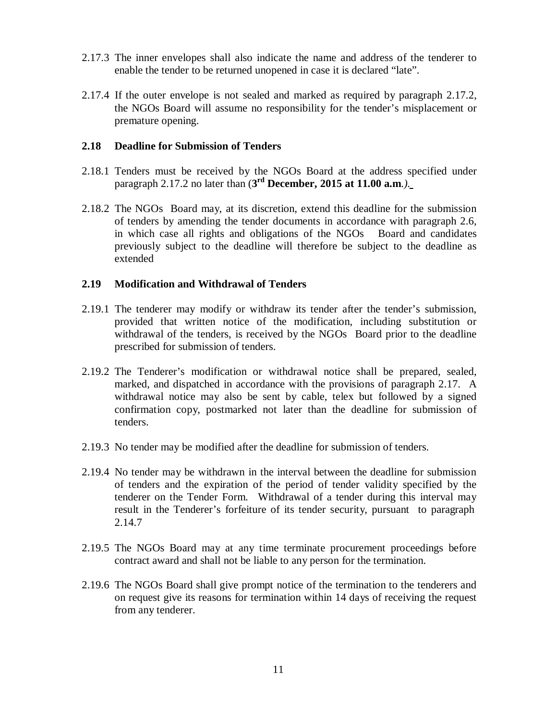- 2.17.3 The inner envelopes shall also indicate the name and address of the tenderer to enable the tender to be returned unopened in case it is declared "late".
- 2.17.4 If the outer envelope is not sealed and marked as required by paragraph 2.17.2, the NGOs Board will assume no responsibility for the tender's misplacement or premature opening.

#### **2.18 Deadline for Submission of Tenders**

- 2.18.1 Tenders must be received by the NGOs Board at the address specified under paragraph 2.17.2 no later than (**3 rd December, 2015 at 11.00 a.m**.*)*.
- 2.18.2 The NGOs Board may, at its discretion, extend this deadline for the submission of tenders by amending the tender documents in accordance with paragraph 2.6, in which case all rights and obligations of the NGOs Board and candidates previously subject to the deadline will therefore be subject to the deadline as extended

#### **2.19 Modification and Withdrawal of Tenders**

- 2.19.1 The tenderer may modify or withdraw its tender after the tender's submission, provided that written notice of the modification, including substitution or withdrawal of the tenders, is received by the NGOs Board prior to the deadline prescribed for submission of tenders.
- 2.19.2 The Tenderer's modification or withdrawal notice shall be prepared, sealed, marked, and dispatched in accordance with the provisions of paragraph 2.17. A withdrawal notice may also be sent by cable, telex but followed by a signed confirmation copy, postmarked not later than the deadline for submission of tenders.
- 2.19.3 No tender may be modified after the deadline for submission of tenders.
- 2.19.4 No tender may be withdrawn in the interval between the deadline for submission of tenders and the expiration of the period of tender validity specified by the tenderer on the Tender Form. Withdrawal of a tender during this interval may result in the Tenderer's forfeiture of its tender security, pursuant to paragraph 2.14.7
- 2.19.5 The NGOs Board may at any time terminate procurement proceedings before contract award and shall not be liable to any person for the termination.
- 2.19.6 The NGOs Board shall give prompt notice of the termination to the tenderers and on request give its reasons for termination within 14 days of receiving the request from any tenderer.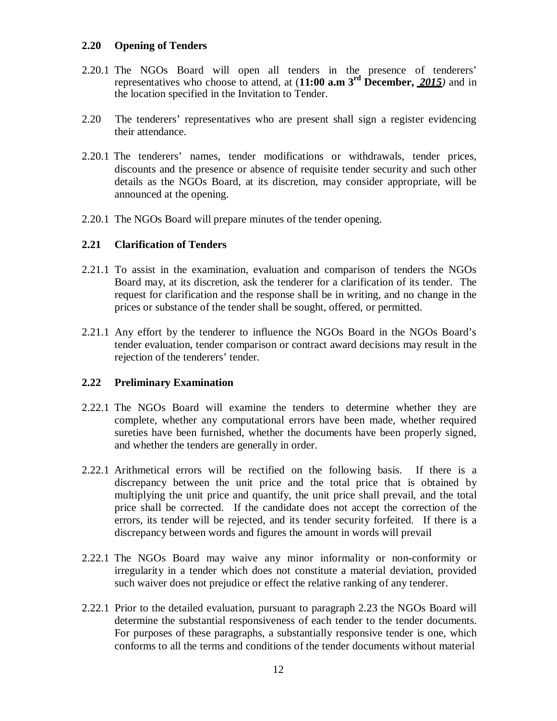### **2.20 Opening of Tenders**

- 2.20.1 The NGOs Board will open all tenders in the presence of tenderers' representatives who choose to attend, at (**11:00 a.m 3rd December,** *2015)* and in the location specified in the Invitation to Tender.
- 2.20 The tenderers' representatives who are present shall sign a register evidencing their attendance.
- 2.20.1 The tenderers' names, tender modifications or withdrawals, tender prices, discounts and the presence or absence of requisite tender security and such other details as the NGOs Board, at its discretion, may consider appropriate, will be announced at the opening.
- 2.20.1 The NGOs Board will prepare minutes of the tender opening.

## **2.21 Clarification of Tenders**

- 2.21.1 To assist in the examination, evaluation and comparison of tenders the NGOs Board may, at its discretion, ask the tenderer for a clarification of its tender. The request for clarification and the response shall be in writing, and no change in the prices or substance of the tender shall be sought, offered, or permitted.
- 2.21.1 Any effort by the tenderer to influence the NGOs Board in the NGOs Board's tender evaluation, tender comparison or contract award decisions may result in the rejection of the tenderers' tender.

#### **2.22 Preliminary Examination**

- 2.22.1 The NGOs Board will examine the tenders to determine whether they are complete, whether any computational errors have been made, whether required sureties have been furnished, whether the documents have been properly signed, and whether the tenders are generally in order.
- 2.22.1 Arithmetical errors will be rectified on the following basis. If there is a discrepancy between the unit price and the total price that is obtained by multiplying the unit price and quantify, the unit price shall prevail, and the total price shall be corrected. If the candidate does not accept the correction of the errors, its tender will be rejected, and its tender security forfeited. If there is a discrepancy between words and figures the amount in words will prevail
- 2.22.1 The NGOs Board may waive any minor informality or non-conformity or irregularity in a tender which does not constitute a material deviation, provided such waiver does not prejudice or effect the relative ranking of any tenderer.
- 2.22.1 Prior to the detailed evaluation, pursuant to paragraph 2.23 the NGOs Board will determine the substantial responsiveness of each tender to the tender documents. For purposes of these paragraphs, a substantially responsive tender is one, which conforms to all the terms and conditions of the tender documents without material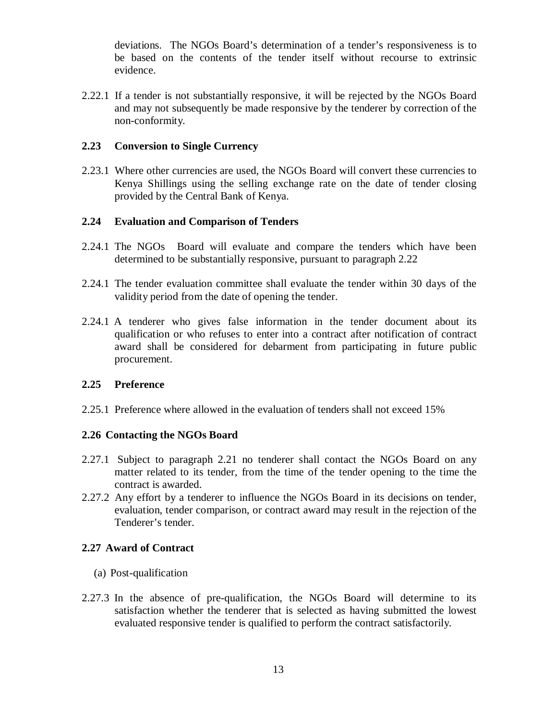deviations. The NGOs Board's determination of a tender's responsiveness is to be based on the contents of the tender itself without recourse to extrinsic evidence.

2.22.1 If a tender is not substantially responsive, it will be rejected by the NGOs Board and may not subsequently be made responsive by the tenderer by correction of the non-conformity.

#### **2.23 Conversion to Single Currency**

2.23.1 Where other currencies are used, the NGOs Board will convert these currencies to Kenya Shillings using the selling exchange rate on the date of tender closing provided by the Central Bank of Kenya.

#### **2.24 Evaluation and Comparison of Tenders**

- 2.24.1 The NGOs Board will evaluate and compare the tenders which have been determined to be substantially responsive, pursuant to paragraph 2.22
- 2.24.1 The tender evaluation committee shall evaluate the tender within 30 days of the validity period from the date of opening the tender.
- 2.24.1 A tenderer who gives false information in the tender document about its qualification or who refuses to enter into a contract after notification of contract award shall be considered for debarment from participating in future public procurement.

#### **2.25 Preference**

2.25.1 Preference where allowed in the evaluation of tenders shall not exceed 15%

#### **2.26 Contacting the NGOs Board**

- 2.27.1 Subject to paragraph 2.21 no tenderer shall contact the NGOs Board on any matter related to its tender, from the time of the tender opening to the time the contract is awarded.
- 2.27.2 Any effort by a tenderer to influence the NGOs Board in its decisions on tender, evaluation, tender comparison, or contract award may result in the rejection of the Tenderer's tender.

#### **2.27 Award of Contract**

- (a) Post-qualification
- 2.27.3 In the absence of pre-qualification, the NGOs Board will determine to its satisfaction whether the tenderer that is selected as having submitted the lowest evaluated responsive tender is qualified to perform the contract satisfactorily.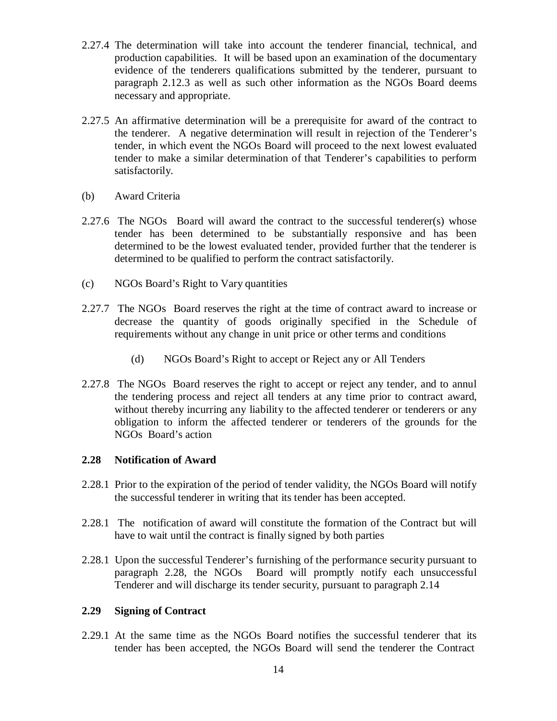- 2.27.4 The determination will take into account the tenderer financial, technical, and production capabilities. It will be based upon an examination of the documentary evidence of the tenderers qualifications submitted by the tenderer, pursuant to paragraph 2.12.3 as well as such other information as the NGOs Board deems necessary and appropriate.
- 2.27.5 An affirmative determination will be a prerequisite for award of the contract to the tenderer. A negative determination will result in rejection of the Tenderer's tender, in which event the NGOs Board will proceed to the next lowest evaluated tender to make a similar determination of that Tenderer's capabilities to perform satisfactorily.
- (b) Award Criteria
- 2.27.6 The NGOs Board will award the contract to the successful tenderer(s) whose tender has been determined to be substantially responsive and has been determined to be the lowest evaluated tender, provided further that the tenderer is determined to be qualified to perform the contract satisfactorily.
- (c) NGOs Board's Right to Vary quantities
- 2.27.7 The NGOs Board reserves the right at the time of contract award to increase or decrease the quantity of goods originally specified in the Schedule of requirements without any change in unit price or other terms and conditions
	- (d) NGOs Board's Right to accept or Reject any or All Tenders
- 2.27.8 The NGOs Board reserves the right to accept or reject any tender, and to annul the tendering process and reject all tenders at any time prior to contract award, without thereby incurring any liability to the affected tenderer or tenderers or any obligation to inform the affected tenderer or tenderers of the grounds for the NGOs Board's action

#### **2.28 Notification of Award**

- 2.28.1 Prior to the expiration of the period of tender validity, the NGOs Board will notify the successful tenderer in writing that its tender has been accepted.
- 2.28.1 The notification of award will constitute the formation of the Contract but will have to wait until the contract is finally signed by both parties
- 2.28.1 Upon the successful Tenderer's furnishing of the performance security pursuant to paragraph 2.28, the NGOs Board will promptly notify each unsuccessful Tenderer and will discharge its tender security, pursuant to paragraph 2.14

## **2.29 Signing of Contract**

2.29.1 At the same time as the NGOs Board notifies the successful tenderer that its tender has been accepted, the NGOs Board will send the tenderer the Contract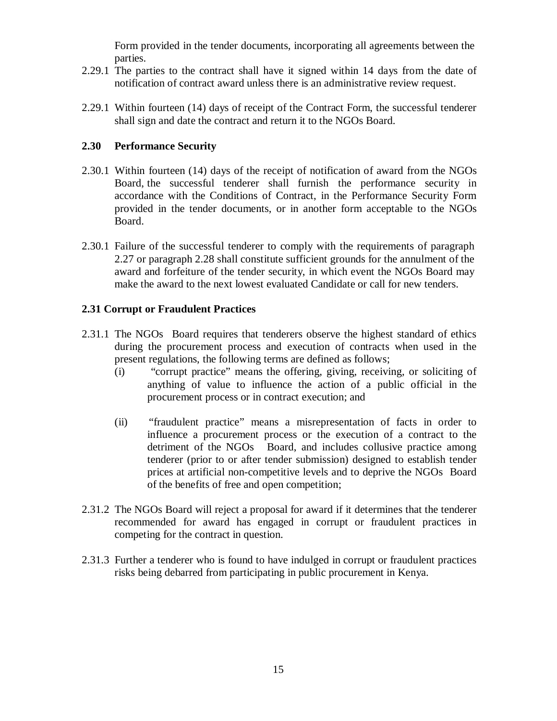Form provided in the tender documents, incorporating all agreements between the parties.

- 2.29.1 The parties to the contract shall have it signed within 14 days from the date of
- notification of contract award unless there is an administrative review request.<br>2.29.1 Within fourteen (14) days of receipt of the Contract Form, the successful tenderer shall sign and date the contract and return it to the NGOs Board.

## **2.30 Performance Security**

- $2.30.1$  Within fourteen (14) days of the receipt of notification of award from the NGOs Board, the successful tenderer shall furnish the performance security in accordance with the Conditions of Contract, in the Performance Security Form provided in the tender documents, or in another form acceptable to the NGOs Board.
- 2.30.1 Failure of the successful tenderer to comply with the requirements of paragraph 2.27 or paragraph 2.28 shall constitute sufficient grounds for the annulment of the award and forfeiture of the tender security, in which event the NGOs Board may make the award to the next lowest evaluated Candidate or call for new tenders.

## **2.31 Corrupt or Fraudulent Practices**

- 2.31.1 The NGOs Board requires that tenderers observe the highest standard of ethics during the procurement process and execution of contracts when used in the present regulations, the following terms are defined as follows;
	- (i) "corrupt practice" means the offering, giving, receiving, or soliciting of anything of value to influence the action of a public official in the procurement process or in contract execution; and
	- (ii) "fraudulent practice" means a misrepresentation of facts in order to influence a procurement process or the execution of a contract to the detriment of the NGOs Board, and includes collusive practice among tenderer (prior to orafter tender submission) designed to establish tender prices at artificial non-competitive levels and to deprive the NGOs Board of the benefits of free and open competition;
- 2.31.2 The NGOs Board will reject a proposal for award if it determines that the tenderer recommended for award has engaged in corrupt or fraudulent practices in competing for the contract in question.
- 2.31.3 Further a tenderer who is found to have indulged in corrupt or fraudulent practices risks being debarred from participating in public procurement in Kenya.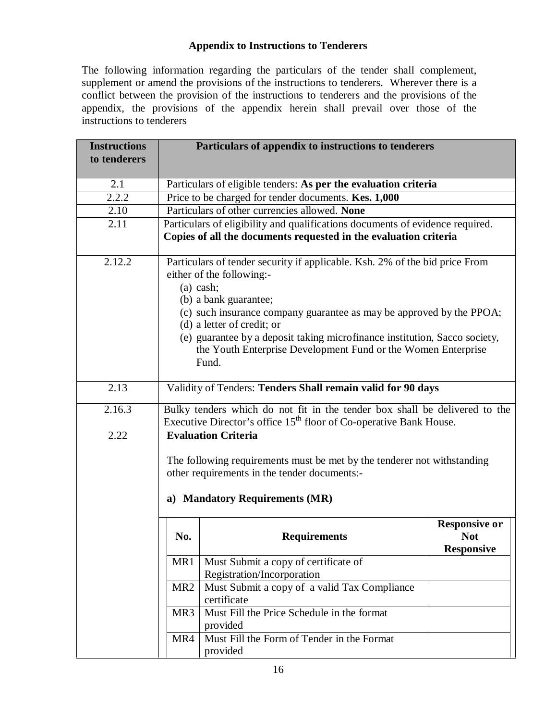## **Appendix to Instructions to Tenderers**

The following information regarding the particulars of the tender shall complement, supplement or amend the provisions of the instructions to tenderers. Wherever there is a conflict between the provision of the instructions to tenderers and the provisions of the appendix, the provisions of the appendix herein shall prevail over those of the instructions to tenderers

| <b>Instructions</b><br>to tenderers |                                                                                                                                                                                         | Particulars of appendix to instructions to tenderers                                                                                                                                                                                                                                                                                                                                            |                                                         |
|-------------------------------------|-----------------------------------------------------------------------------------------------------------------------------------------------------------------------------------------|-------------------------------------------------------------------------------------------------------------------------------------------------------------------------------------------------------------------------------------------------------------------------------------------------------------------------------------------------------------------------------------------------|---------------------------------------------------------|
| 2.1                                 |                                                                                                                                                                                         | Particulars of eligible tenders: As per the evaluation criteria                                                                                                                                                                                                                                                                                                                                 |                                                         |
| 2.2.2                               |                                                                                                                                                                                         | Price to be charged for tender documents. Kes. 1,000                                                                                                                                                                                                                                                                                                                                            |                                                         |
| 2.10                                |                                                                                                                                                                                         | Particulars of other currencies allowed. None                                                                                                                                                                                                                                                                                                                                                   |                                                         |
| 2.11                                |                                                                                                                                                                                         | Particulars of eligibility and qualifications documents of evidence required.<br>Copies of all the documents requested in the evaluation criteria                                                                                                                                                                                                                                               |                                                         |
| 2.12.2                              | $(a)$ cash;                                                                                                                                                                             | Particulars of tender security if applicable. Ksh. 2% of the bid price From<br>either of the following:-<br>(b) a bank guarantee;<br>(c) such insurance company guarantee as may be approved by the PPOA;<br>(d) a letter of credit; or<br>(e) guarantee by a deposit taking microfinance institution, Sacco society,<br>the Youth Enterprise Development Fund or the Women Enterprise<br>Fund. |                                                         |
| 2.13                                |                                                                                                                                                                                         | Validity of Tenders: Tenders Shall remain valid for 90 days                                                                                                                                                                                                                                                                                                                                     |                                                         |
| 2.16.3                              |                                                                                                                                                                                         | Bulky tenders which do not fit in the tender box shall be delivered to the<br>Executive Director's office 15 <sup>th</sup> floor of Co-operative Bank House.                                                                                                                                                                                                                                    |                                                         |
| 2.22                                | <b>Evaluation Criteria</b><br>The following requirements must be met by the tenderer not withstanding<br>other requirements in the tender documents:-<br>a) Mandatory Requirements (MR) |                                                                                                                                                                                                                                                                                                                                                                                                 |                                                         |
|                                     | No.                                                                                                                                                                                     | <b>Requirements</b>                                                                                                                                                                                                                                                                                                                                                                             | <b>Responsive or</b><br><b>Not</b><br><b>Responsive</b> |
|                                     | MR1                                                                                                                                                                                     | Must Submit a copy of certificate of<br>Registration/Incorporation                                                                                                                                                                                                                                                                                                                              |                                                         |
|                                     | MR <sub>2</sub>                                                                                                                                                                         | Must Submit a copy of a valid Tax Compliance<br>certificate                                                                                                                                                                                                                                                                                                                                     |                                                         |
|                                     | MR3                                                                                                                                                                                     | Must Fill the Price Schedule in the format<br>provided                                                                                                                                                                                                                                                                                                                                          |                                                         |
|                                     | MR4                                                                                                                                                                                     | Must Fill the Form of Tender in the Format<br>provided                                                                                                                                                                                                                                                                                                                                          |                                                         |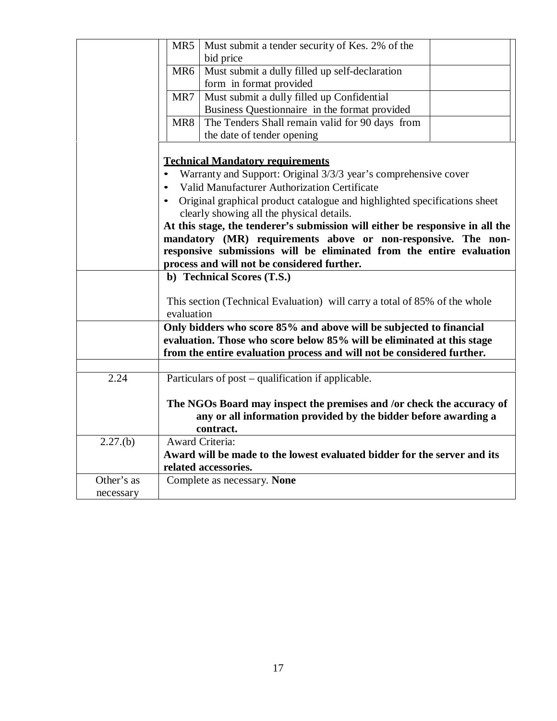|            | MR5<br>Must submit a tender security of Kes. 2% of the                                                                                                                               |
|------------|--------------------------------------------------------------------------------------------------------------------------------------------------------------------------------------|
|            | bid price                                                                                                                                                                            |
|            | Must submit a dully filled up self-declaration<br>MR <sub>6</sub>                                                                                                                    |
|            | form in format provided                                                                                                                                                              |
|            | Must submit a dully filled up Confidential<br>MR7                                                                                                                                    |
|            | Business Questionnaire in the format provided                                                                                                                                        |
|            | The Tenders Shall remain valid for 90 days from<br>MR8                                                                                                                               |
|            | the date of tender opening                                                                                                                                                           |
|            | <b>Technical Mandatory requirements</b><br>Warranty and Support: Original 3/3/3 year's comprehensive cover<br>$\bullet$                                                              |
|            | Valid Manufacturer Authorization Certificate<br>$\bullet$                                                                                                                            |
|            | Original graphical product catalogue and highlighted specifications sheet<br>$\bullet$                                                                                               |
|            | clearly showing all the physical details.                                                                                                                                            |
|            | At this stage, the tenderer's submission will either be responsive in all the                                                                                                        |
|            | mandatory (MR) requirements above or non-responsive. The non-<br>responsive submissions will be eliminated from the entire evaluation<br>process and will not be considered further. |
|            | b) Technical Scores (T.S.)                                                                                                                                                           |
|            |                                                                                                                                                                                      |
|            | This section (Technical Evaluation) will carry a total of 85% of the whole                                                                                                           |
|            | evaluation                                                                                                                                                                           |
|            | Only bidders who score 85% and above will be subjected to financial                                                                                                                  |
|            | evaluation. Those who score below 85% will be eliminated at this stage                                                                                                               |
|            | from the entire evaluation process and will not be considered further.                                                                                                               |
|            |                                                                                                                                                                                      |
| 2.24       | Particulars of post – qualification if applicable.                                                                                                                                   |
|            | The NGOs Board may inspect the premises and /or check the accuracy of                                                                                                                |
|            | any or all information provided by the bidder before awarding a                                                                                                                      |
|            | contract.                                                                                                                                                                            |
| 2.27(b)    | <b>Award Criteria:</b>                                                                                                                                                               |
|            | Award will be made to the lowest evaluated bidder for the server and its                                                                                                             |
|            | related accessories.                                                                                                                                                                 |
| Other's as |                                                                                                                                                                                      |
|            |                                                                                                                                                                                      |
| necessary  | Complete as necessary. None                                                                                                                                                          |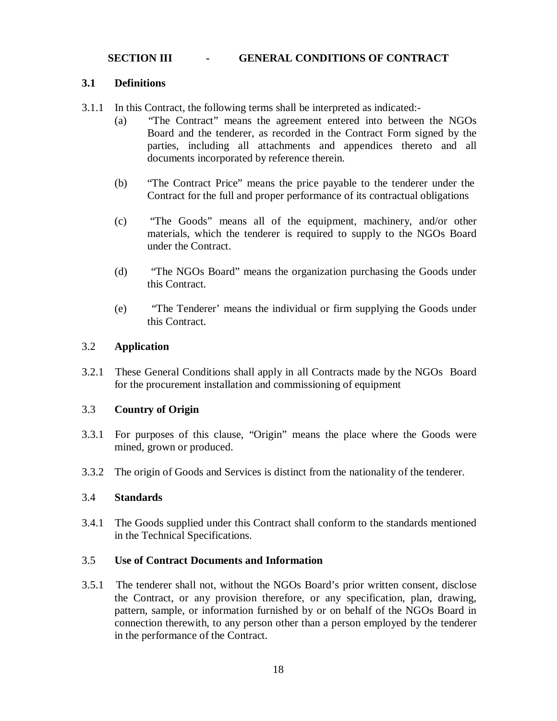#### **SECTION III - GENERAL CONDITIONS OF CONTRACT**

#### **3.1 Definitions**

- 3.1.1 In this Contract, the following terms shall be interpreted as indicated:-
	- (a) "The Contract" means the agreement entered into between the NGOs Board and the tenderer, as recorded in the Contract Form signed by the parties, including all attachments and appendices thereto and all documents incorporated by reference therein.
	- (b) "The Contract Price" means the price payable to the tenderer under the Contract for the full and proper performance of its contractual obligations
	- (c) "The Goods" means all of the equipment, machinery, and/or other materials, which the tenderer is required to supply to the NGOs Board under the Contract.
	- (d) "The NGOs Board" means the organization purchasing the Goods under this Contract.
	- (e) "The Tenderer' means the individual or firm supplying the Goods under this Contract.

#### 3.2 **Application**

3.2.1 These General Conditions shall apply in all Contracts made by the NGOs Board for the procurement installation and commissioning of equipment

#### 3.3 **Country of Origin**

- 3.3.1 For purposes of this clause, "Origin" means the place where the Goods were mined, grown or produced.
- 3.3.2 The origin of Goods and Services is distinct from the nationality of the tenderer.

### 3.4 **Standards**

3.4.1 The Goods supplied under this Contract shall conform to the standards mentioned in the Technical Specifications.

#### 3.5 **Use of Contract Documents and Information**

3.5.1 The tenderer shall not, without the NGOs Board's prior written consent, disclose the Contract, or any provision therefore, or any specification, plan, drawing, pattern, sample, or information furnished by or on behalf of the NGOs Board in connection therewith, to any person other than a person employed by the tenderer in the performance of the Contract.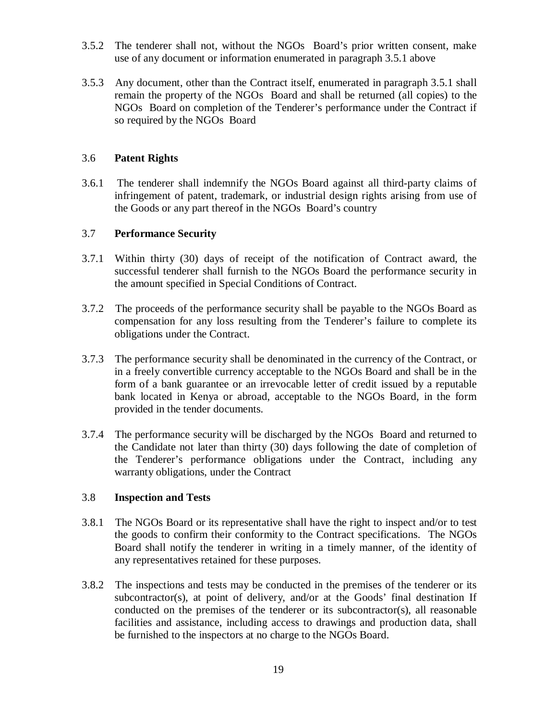- 3.5.2 The tenderer shall not, without the NGOs Board's prior written consent, make use of any document or information enumerated in paragraph 3.5.1 above
- 3.5.3 Any document, other than the Contract itself, enumerated in paragraph 3.5.1 shall remain the property of the NGOs Board and shall be returned (all copies) to the NGOs Board on completion of the Tenderer's performance under the Contract if so required by the NGOs Board

### 3.6 **Patent Rights**

3.6.1 The tenderer shall indemnify the NGOs Board against all third-party claims of infringement of patent, trademark, or industrial design rights arising from use of the Goods or any part thereof in the NGOs Board's country

#### 3.7 **Performance Security**

- 3.7.1 Within thirty (30) days of receipt of the notification of Contract award, the successful tenderer shall furnish to the NGOs Board the performance security in the amount specified in Special Conditions of Contract.
- 3.7.2 The proceeds of the performance security shall be payable to the NGOs Board as compensation for any loss resulting from the Tenderer's failure to complete its obligations under the Contract.
- 3.7.3 The performance security shall be denominated in the currency of the Contract, or in a freely convertible currency acceptable to the NGOs Board and shall be in the form of a bank guarantee or an irrevocable letter of credit issued by a reputable bank located in Kenya or abroad, acceptable to the NGOs Board, in the form provided in the tender documents.
- 3.7.4 The performance security will be discharged by the NGOs Board and returned to the Candidate not later than thirty (30) days following the date of completion of the Tenderer's performance obligations under the Contract, including any warranty obligations, under the Contract

#### 3.8 **Inspection and Tests**

- 3.8.1 The NGOs Board or its representative shall have the right to inspect and/or to test the goods to confirm their conformity to the Contract specifications. The NGOs Board shall notify the tenderer in writing in a timely manner, of the identity of any representatives retained for these purposes.
- 3.8.2 The inspections and tests may be conducted in the premises of the tenderer or its subcontractor(s), at point of delivery, and/or at the Goods' final destination If conducted on the premises of the tenderer or its subcontractor(s), all reasonable facilities and assistance, including access to drawings and production data, shall be furnished to the inspectors at no charge to the NGOs Board.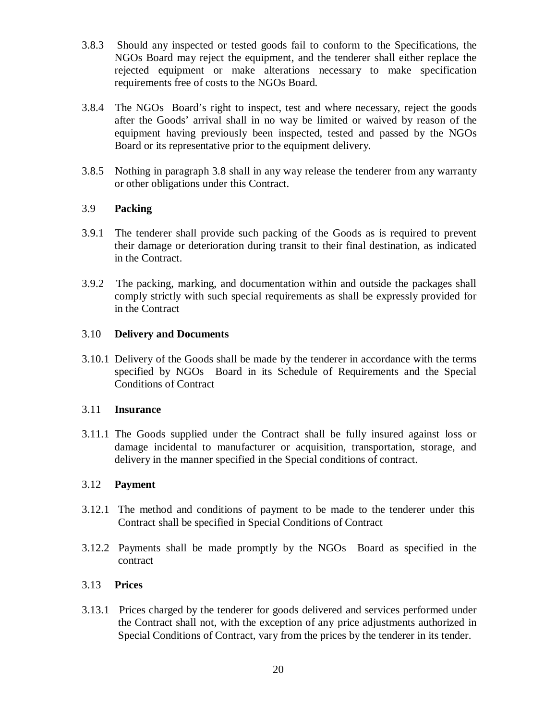- 3.8.3 Should any inspected or tested goods fail to conform to the Specifications, the NGOs Board may reject the equipment, and the tenderer shall either replace the rejected equipment or make alterations necessary to make specification requirements free of costs to the NGOs Board.
- 3.8.4 The NGOs Board's right to inspect, test and where necessary, reject the goods after the Goods' arrival shall in no way be limited or waived by reason of the equipment having previously been inspected, tested and passed by the NGOs Board or its representative prior to the equipment delivery.
- 3.8.5 Nothing in paragraph 3.8 shall in any way release the tenderer from any warranty or other obligations under this Contract.

## 3.9 **Packing**

- 3.9.1 The tenderer shall provide such packing of the Goods as is required to prevent their damage or deterioration during transit to their final destination, as indicated in the Contract.
- 3.9.2 The packing, marking, and documentation within and outside the packages shall comply strictly with such special requirements as shall be expressly provided for in the Contract

#### 3.10 **Delivery and Documents**

3.10.1 Delivery of the Goods shall be made by the tenderer in accordance with the terms specified by NGOs Board in its Schedule of Requirements and the Special Conditions of Contract

#### 3.11 **Insurance**

3.11.1 The Goods supplied under the Contract shall be fully insured against loss or damage incidental to manufacturer or acquisition, transportation, storage, and delivery in the manner specified in the Special conditions of contract.

#### 3.12 **Payment**

- 3.12.1 The method and conditions of payment to be made to the tenderer under this Contract shall be specified in Special Conditions of Contract
- 3.12.2 Payments shall be made promptly by the NGOs Board as specified in the contract

#### 3.13 **Prices**

3.13.1 Prices charged by the tenderer for goods delivered and services performed under the Contract shall not, with the exception of any price adjustments authorized in Special Conditions of Contract, vary from the prices by the tenderer in its tender.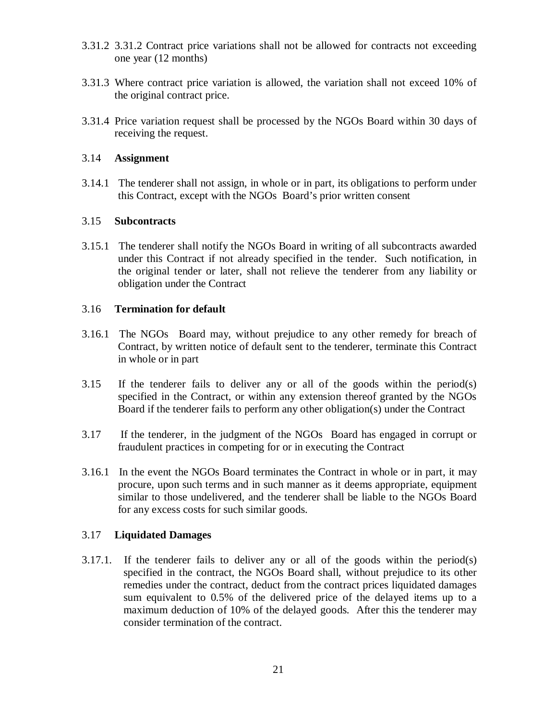- 3.31.2 3.31.2 Contract price variations shall not be allowed for contracts not exceeding one year (12 months)
- 3.31.3 Where contract price variation is allowed, the variation shall not exceed 10% of the original contract price.
- 3.31.4 Price variation request shall be processed by the NGOs Board within 30 days of receiving the request.

### 3.14 **Assignment**

3.14.1 The tenderer shall not assign, in whole or in part, its obligations to perform under this Contract, except with the NGOs Board's prior written consent

## 3.15 **Subcontracts**

3.15.1 The tenderer shall notify the NGOs Board in writing of all subcontracts awarded under this Contract if not already specified in the tender. Such notification, in the original tender or later, shall not relieve the tenderer from any liability or obligation under the Contract

## 3.16 **Termination for default**

- 3.16.1 The NGOs Board may, without prejudice to any other remedy for breach of Contract, by written notice of default sent to the tenderer, terminate this Contract in whole or in part
- 3.15 If the tenderer fails to deliver any or all of the goods within the period(s) specified in the Contract, or within any extension thereof granted by the NGOs Board if the tenderer fails to perform any other obligation(s) under the Contract
- 3.17 If the tenderer, in the judgment of the NGOs Board has engaged in corrupt or fraudulent practices in competing for or in executing the Contract
- 3.16.1 In the event the NGOs Board terminates the Contract in whole or in part, it may procure, upon such terms and in such manner as itdeems appropriate, equipment similar to those undelivered, and the tenderer shall be liable to the NGOs Board for any excess costs for such similar goods.

## 3.17 **Liquidated Damages**

3.17.1. If the tenderer fails to deliver any or all of the goods within the period(s) specified in the contract, the NGOs Board shall, without prejudice to its other remedies under the contract, deduct from the contract prices liquidated damages sum equivalent to 0.5% of the delivered price of the delayed items up to a maximum deduction of 10% of the delayed goods. After this the tenderer may consider termination of the contract.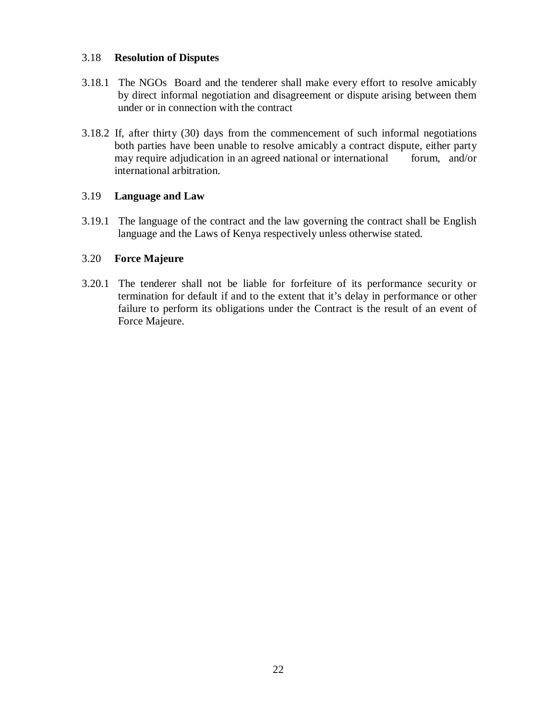### 3.18 **Resolution of Disputes**

- 3.18.1 The NGOs Board and the tenderer shall make every effort to resolve amicably by direct informal negotiation and disagreement or dispute arising between them under or in connection with the contract
- 3.18.2 If, after thirty (30) days from the commencement of such informal negotiations both parties have been unable to resolve amicably a contract dispute, either party may require adjudication in an agreed national or international forum, and/or international arbitration.

## 3.19 **Language and Law**

3.19.1 The language of the contract and the law governing the contract shall be English language and the Laws of Kenya respectively unless otherwise stated.

## 3.20 **Force Majeure**

3.20.1 The tenderer shall not be liable for forfeiture of its performance security or termination for default if and to the extent that it's delay in performance or other failure to perform its obligations under the Contract is the result of an event of Force Majeure.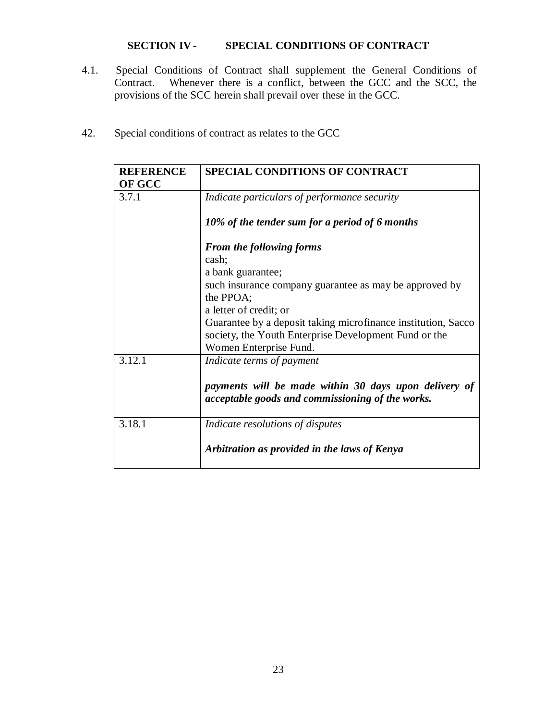## **SECTION IV - SPECIAL CONDITIONS OF CONTRACT**

- 4.1. Special Conditions of Contract shall supplement the General Conditions of Contract. Whenever there is a conflict, between the GCC and the SCC, the provisions of the SCC herein shall prevail over these in the GCC.
- 42. Special conditions of contract as relates to the GCC

| <b>REFERENCE</b> | <b>SPECIAL CONDITIONS OF CONTRACT</b>                                                                     |
|------------------|-----------------------------------------------------------------------------------------------------------|
| OF GCC           |                                                                                                           |
| 3.7.1            | Indicate particulars of performance security                                                              |
|                  | 10% of the tender sum for a period of 6 months                                                            |
|                  | <b>From the following forms</b>                                                                           |
|                  | cash;                                                                                                     |
|                  | a bank guarantee;                                                                                         |
|                  | such insurance company guarantee as may be approved by                                                    |
|                  | the PPOA;                                                                                                 |
|                  | a letter of credit; or                                                                                    |
|                  | Guarantee by a deposit taking microfinance institution, Sacco                                             |
|                  | society, the Youth Enterprise Development Fund or the                                                     |
|                  | Women Enterprise Fund.                                                                                    |
| 3.12.1           | Indicate terms of payment                                                                                 |
|                  | payments will be made within 30 days upon delivery of<br>acceptable goods and commissioning of the works. |
| 3.18.1           | Indicate resolutions of disputes                                                                          |
|                  | Arbitration as provided in the laws of Kenya                                                              |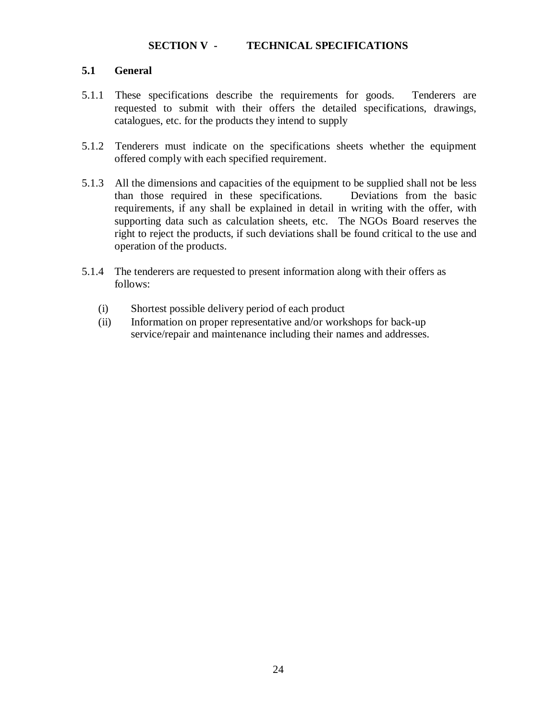### **SECTION V - TECHNICAL SPECIFICATIONS**

## **5.1 General**

- 5.1.1 These specifications describe the requirements for goods. Tenderers are requested to submit with their offers the detailed specifications, drawings, catalogues, etc. for the products they intend to supply
- 5.1.2 Tenderers must indicate on the specifications sheets whether the equipment offered comply with each specified requirement.
- 5.1.3 All the dimensions and capacities of the equipment to be supplied shall not be less than those required in these specifications. Deviations from the basic requirements, if any shall be explained in detail in writing with the offer, with supporting data such as calculation sheets, etc. The NGOs Board reserves the right to reject the products, if such deviations shall be found critical to the use and operation of the products.
- 5.1.4 The tenderers are requested to present information along with their offers as follows:
	- (i) Shortest possible delivery period of each product
	- (ii) Information on proper representative and/or workshops for back-up service/repair and maintenance including their names and addresses.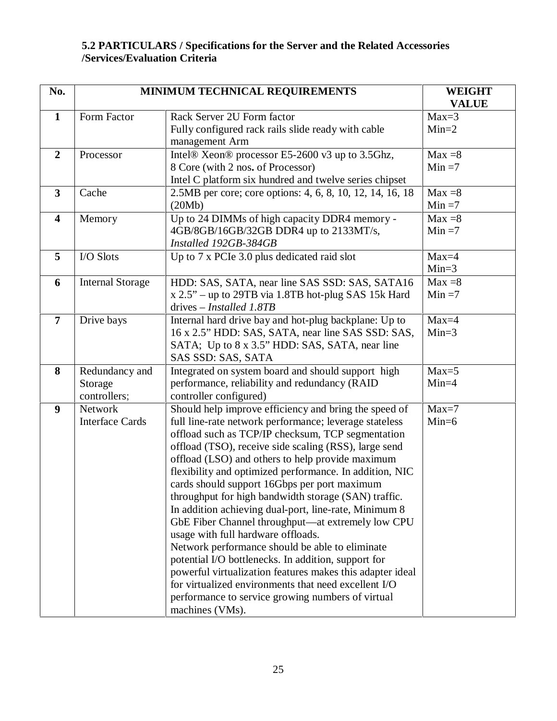## **5.2 PARTICULARS / Specifications for the Server and the Related Accessories /Services/Evaluation Criteria**

| No.                     |                                           | MINIMUM TECHNICAL REQUIREMENTS                                                                                                                                                                                                                                                                                                                                                                                                                                                                                                                                                                                                                                                                                                                                                                                                                                                                                  | <b>WEIGHT</b><br><b>VALUE</b> |
|-------------------------|-------------------------------------------|-----------------------------------------------------------------------------------------------------------------------------------------------------------------------------------------------------------------------------------------------------------------------------------------------------------------------------------------------------------------------------------------------------------------------------------------------------------------------------------------------------------------------------------------------------------------------------------------------------------------------------------------------------------------------------------------------------------------------------------------------------------------------------------------------------------------------------------------------------------------------------------------------------------------|-------------------------------|
| $\mathbf{1}$            | Form Factor                               | Rack Server 2U Form factor<br>Fully configured rack rails slide ready with cable<br>management Arm                                                                                                                                                                                                                                                                                                                                                                                                                                                                                                                                                                                                                                                                                                                                                                                                              | $Max=3$<br>$Min=2$            |
| $\overline{2}$          | Processor                                 | Intel® Xeon® processor E5-2600 v3 up to 3.5Ghz,<br>8 Core (with 2 nos. of Processor)<br>Intel C platform six hundred and twelve series chipset                                                                                                                                                                                                                                                                                                                                                                                                                                                                                                                                                                                                                                                                                                                                                                  | $Max = 8$<br>$Min = 7$        |
| $\overline{\mathbf{3}}$ | Cache                                     | 2.5MB per core; core options: 4, 6, 8, 10, 12, 14, 16, 18<br>(20Mb)                                                                                                                                                                                                                                                                                                                                                                                                                                                                                                                                                                                                                                                                                                                                                                                                                                             | $Max = 8$<br>$Min = 7$        |
| $\overline{\mathbf{4}}$ | Memory                                    | Up to 24 DIMMs of high capacity DDR4 memory -<br>4GB/8GB/16GB/32GB DDR4 up to 2133MT/s,<br>Installed 192GB-384GB                                                                                                                                                                                                                                                                                                                                                                                                                                                                                                                                                                                                                                                                                                                                                                                                | $Max = 8$<br>$Min = 7$        |
| 5                       | I/O Slots                                 | Up to 7 x PCIe 3.0 plus dedicated raid slot                                                                                                                                                                                                                                                                                                                                                                                                                                                                                                                                                                                                                                                                                                                                                                                                                                                                     | $Max=4$<br>$Min=3$            |
| 6                       | <b>Internal Storage</b>                   | HDD: SAS, SATA, near line SAS SSD: SAS, SATA16<br>x 2.5" - up to 29TB via 1.8TB hot-plug SAS 15k Hard<br>drives – <i>Installed 1.8TB</i>                                                                                                                                                                                                                                                                                                                                                                                                                                                                                                                                                                                                                                                                                                                                                                        | $Max = 8$<br>$Min = 7$        |
| $\overline{7}$          | Drive bays                                | Internal hard drive bay and hot-plug backplane: Up to<br>16 x 2.5" HDD: SAS, SATA, near line SAS SSD: SAS,<br>SATA; Up to 8 x 3.5" HDD: SAS, SATA, near line<br>SAS SSD: SAS, SATA                                                                                                                                                                                                                                                                                                                                                                                                                                                                                                                                                                                                                                                                                                                              | $Max=4$<br>$Min=3$            |
| 8                       | Redundancy and<br>Storage<br>controllers; | Integrated on system board and should support high<br>performance, reliability and redundancy (RAID<br>controller configured)                                                                                                                                                                                                                                                                                                                                                                                                                                                                                                                                                                                                                                                                                                                                                                                   | $Max=5$<br>$Min=4$            |
| $\boldsymbol{9}$        | Network<br><b>Interface Cards</b>         | Should help improve efficiency and bring the speed of<br>full line-rate network performance; leverage stateless<br>offload such as TCP/IP checksum, TCP segmentation<br>offload (TSO), receive side scaling (RSS), large send<br>offload (LSO) and others to help provide maximum<br>flexibility and optimized performance. In addition, NIC<br>cards should support 16Gbps per port maximum<br>throughput for high bandwidth storage (SAN) traffic.<br>In addition achieving dual-port, line-rate, Minimum 8<br>GbE Fiber Channel throughput—at extremely low CPU<br>usage with full hardware offloads.<br>Network performance should be able to eliminate<br>potential I/O bottlenecks. In addition, support for<br>powerful virtualization features makes this adapter ideal<br>for virtualized environments that need excellent I/O<br>performance to service growing numbers of virtual<br>machines (VMs). | $Max=7$<br>$Min=6$            |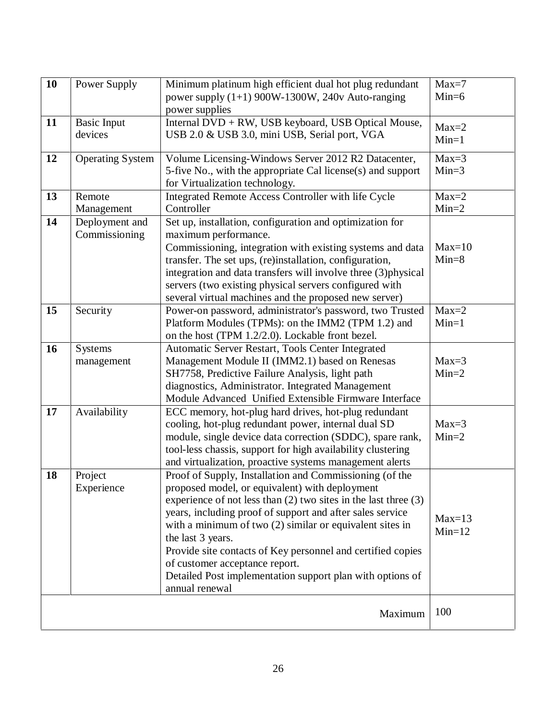| 10 | Power Supply                    | Minimum platinum high efficient dual hot plug redundant<br>power supply $(1+1)$ 900W-1300W, 240v Auto-ranging<br>power supplies                                                                                                                                                                                                                                                                                                                                                                                  | $Max=7$<br>$Min=6$   |
|----|---------------------------------|------------------------------------------------------------------------------------------------------------------------------------------------------------------------------------------------------------------------------------------------------------------------------------------------------------------------------------------------------------------------------------------------------------------------------------------------------------------------------------------------------------------|----------------------|
| 11 | <b>Basic Input</b><br>devices   | Internal DVD + RW, USB keyboard, USB Optical Mouse,<br>USB 2.0 & USB 3.0, mini USB, Serial port, VGA                                                                                                                                                                                                                                                                                                                                                                                                             | $Max=2$<br>$Min=1$   |
| 12 | <b>Operating System</b>         | Volume Licensing-Windows Server 2012 R2 Datacenter,<br>5-five No., with the appropriate Cal license(s) and support<br>for Virtualization technology.                                                                                                                                                                                                                                                                                                                                                             | $Max=3$<br>$Min=3$   |
| 13 | Remote<br>Management            | Integrated Remote Access Controller with life Cycle<br>Controller                                                                                                                                                                                                                                                                                                                                                                                                                                                | $Max=2$<br>$Min=2$   |
| 14 | Deployment and<br>Commissioning | Set up, installation, configuration and optimization for<br>maximum performance.<br>Commissioning, integration with existing systems and data<br>transfer. The set ups, (re)installation, configuration,<br>integration and data transfers will involve three (3) physical<br>servers (two existing physical servers configured with<br>several virtual machines and the proposed new server)                                                                                                                    | $Max=10$<br>$Min=8$  |
| 15 | Security                        | Power-on password, administrator's password, two Trusted<br>Platform Modules (TPMs): on the IMM2 (TPM 1.2) and<br>on the host (TPM 1.2/2.0). Lockable front bezel.                                                                                                                                                                                                                                                                                                                                               | $Max=2$<br>$Min=1$   |
| 16 | <b>Systems</b><br>management    | Automatic Server Restart, Tools Center Integrated<br>Management Module II (IMM2.1) based on Renesas<br>SH7758, Predictive Failure Analysis, light path<br>diagnostics, Administrator. Integrated Management<br>Module Advanced Unified Extensible Firmware Interface                                                                                                                                                                                                                                             | $Max=3$<br>$Min=2$   |
| 17 | Availability                    | ECC memory, hot-plug hard drives, hot-plug redundant<br>cooling, hot-plug redundant power, internal dual SD<br>module, single device data correction (SDDC), spare rank,<br>tool-less chassis, support for high availability clustering<br>and virtualization, proactive systems management alerts                                                                                                                                                                                                               | $Max=3$<br>$Min=2$   |
| 18 | Project<br>Experience           | Proof of Supply, Installation and Commissioning (of the<br>proposed model, or equivalent) with deployment<br>experience of not less than $(2)$ two sites in the last three $(3)$<br>years, including proof of support and after sales service<br>with a minimum of two $(2)$ similar or equivalent sites in<br>the last 3 years.<br>Provide site contacts of Key personnel and certified copies<br>of customer acceptance report.<br>Detailed Post implementation support plan with options of<br>annual renewal | $Max=13$<br>$Min=12$ |
|    |                                 | Maximum                                                                                                                                                                                                                                                                                                                                                                                                                                                                                                          | 100                  |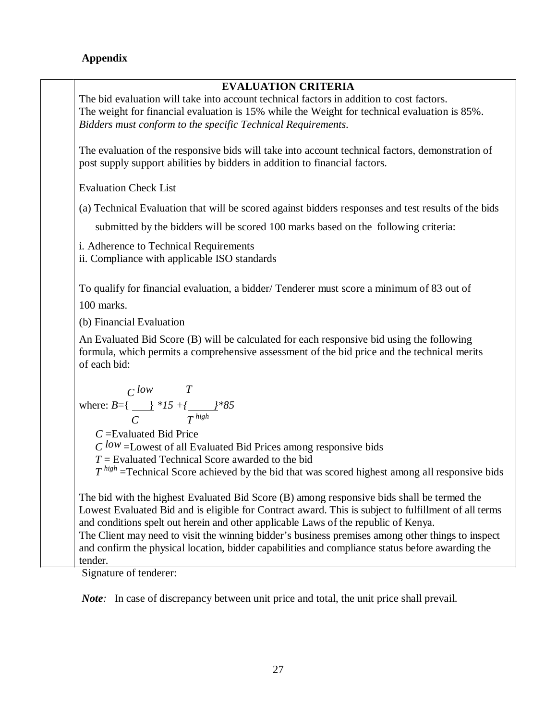## **Appendix**

## **EVALUATION CRITERIA**

The bid evaluation will take into account technical factors in addition to cost factors. The weight for financial evaluation is 15% while the Weight for technical evaluation is 85%. *Bidders must conform to the specific Technical Requirements*.

The evaluation of the responsive bids will take into account technical factors, demonstration of post supply support abilities by bidders in addition to financial factors.

Evaluation Check List

(a) Technical Evaluation that will be scored against bidders responses and testresults of the bids

submitted by the bidders will be scored 100 marks based on the following criteria:

i. Adherence to Technical Requirements

ii. Compliance with applicable ISO standards

To qualify for financial evaluation, a bidder/ Tenderer must score a minimum of 83 out of 100 marks.

(b) Financial Evaluation

An Evaluated Bid Score (B) will be calculated for each responsive bid using the following formula, which permits a comprehensive assessment of the bid price and the technical merits of each bid:

$$
\text{where: } B = \left\{ \frac{C \text{ low}}{C} \right\} * 15 + \left\{ \frac{1}{T} \right\} * 85
$$

*C* =Evaluated Bid Price  $C^{low}$  =Lowest of all Evaluated Bid Prices among responsive bids

*T* = Evaluated Technical Score awarded to the bid

*T*<sup>high</sup> =Technical Score achieved by the bid that was scored highest among all responsive bids

The bid with the highest Evaluated Bid Score (B) among responsive bids shall be termed the Lowest Evaluated Bid and is eligible for Contract award. This is subject to fulfillment of all terms and conditions spelt out herein and other applicable Laws of the republic of Kenya. The Client may need to visit the winning bidder's business premises among other things to inspect and confirm the physical location, bidder capabilities and compliance status before awarding the tender.

Signature of tenderer:

*Note*: In case of discrepancy between unit price and total, the unit price shall prevail.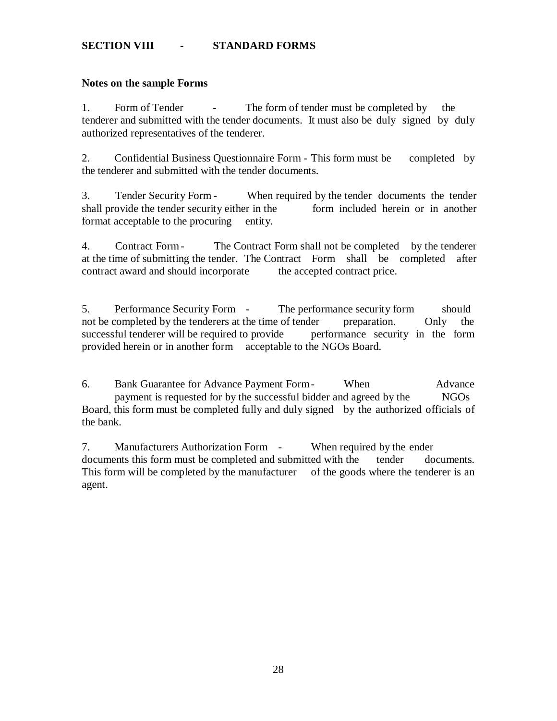## **SECTION VIII - STANDARD FORMS**

#### **Notes on the sample Forms**

1. Form of Tender - The form of tender must be completed by the tenderer and submitted with the tender documents. It must also be duly signed by duly authorized representatives of the tenderer.

2. Confidential Business Questionnaire Form - This form must be completed by the tenderer and submitted with the tender documents.

3. Tender Security Form - When required by the tender documents the tender shall provide the tender security either in the form included herein or in another format acceptable to the procuring entity.

4. Contract Form- The Contract Form shall notbe completed by the tenderer at the time of submitting the tender. The Contract Form shall be completed after contract award and should incorporate the accepted contract price.

5. Performance Security Form - The performance security form should not be completed by the tenderers at the time of tender preparation. Only the successful tenderer will be required to provide performance security in the form provided herein or in another form acceptable to the NGOs Board.

6. Bank Guarantee for Advance Payment Form- When Advance payment is requested for by the successful bidder and agreed by the NGOs Board, this form must be completed fully and duly signed by the authorized officials of the bank.

7. Manufacturers Authorization Form - When required by the ender documents this form must be completed and submitted with the tender documents. This form will be completed by the manufacturer of the goods where the tenderer is an agent.

28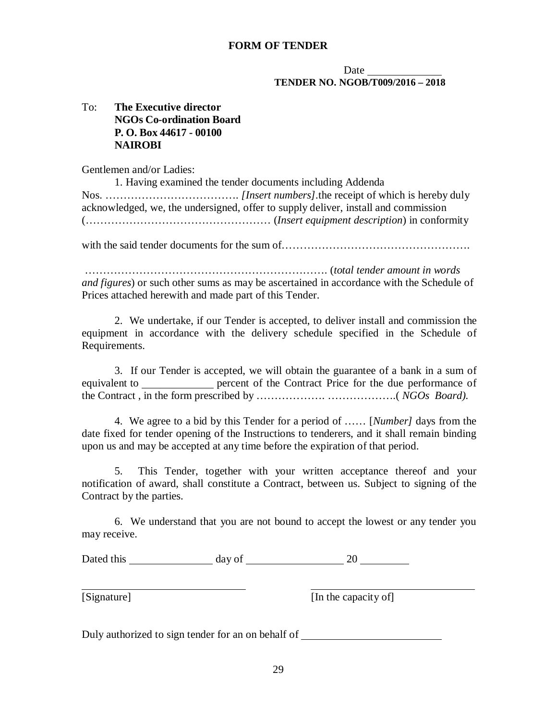#### **FORM OF TENDER**

#### **Date TENDER NO. NGOB/T009/2016 – 2018**

## To: **The Executive director NGOs Co-ordination Board P. O. Box 44617 - 00100 NAIROBI**

Gentlemen and/or Ladies:

1. Having examined the tender documents including Addenda Nos. ………………………………. *[Insert numbers].*the receipt of which is hereby duly acknowledged, we, the undersigned, offer to supply deliver, install and commission (…………………………………………… (*Insert equipment description*) in conformity

with the said tender documents for the sum of…………………………………………….

…………………………………………………………. (*total tender amount in words and figures*) or such other sums as may be ascertained in accordance with the Schedule of Prices attached herewith and made part of this Tender.

2. We undertake, if our Tender is accepted, to deliver install and commission the equipment in accordance with the delivery schedule specified in the Schedule of Requirements.

3. If our Tender is accepted, we will obtain the guarantee of a bank in a sum of equivalent to percent of the Contract Price for the due performance of the Contract , in the form prescribed by ………………. ……………….( *NGOs Board).*

4. We agree to a bid by this Tender for a period of …… [*Number]* days from the date fixed for tender opening of the Instructions to tenderers, and it shall remain binding upon us and may be accepted at any time before the expiration of that period.

5. This Tender, together with your written acceptance thereof and your notification of award, shall constitute a Contract, between us. Subject to signing of the Contract by the parties.

6. We understand that you are not bound to accept the lowest or any tender you may receive.

| Dated this | day of |  |
|------------|--------|--|
|------------|--------|--|

[Signature] [In the capacity of]

Duly authorized to sign tender for an on behalf of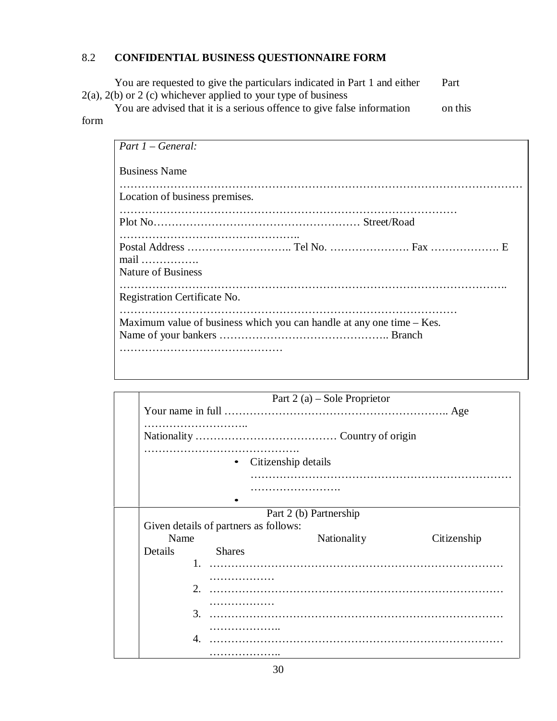# 8.2 **CONFIDENTIAL BUSINESS QUESTIONNAIRE FORM**

You are requested to give the particulars indicated in Part 1 and either Part  $2(a)$ ,  $2(b)$  or  $2(c)$  whichever applied to your type of business

You are advised that it is a serious offence to give false information on this form

| $Part 1 - General:$                                                     |
|-------------------------------------------------------------------------|
| <b>Business Name</b>                                                    |
| Location of business premises.                                          |
|                                                                         |
| $mail \dots \dots \dots \dots \dots$<br><b>Nature of Business</b>       |
| Registration Certificate No.                                            |
| Maximum value of business which you can handle at any one time $-$ Kes. |

|                                        | Part 2 (a) – Sole Proprietor                                    |
|----------------------------------------|-----------------------------------------------------------------|
|                                        |                                                                 |
|                                        | .                                                               |
|                                        | Citizenship details<br>$\bullet$                                |
|                                        |                                                                 |
|                                        | Part 2 (b) Partnership<br>Given details of partners as follows: |
| Name                                   | Nationality<br>Citizenship                                      |
| Details<br>2.<br>3.<br>$\mathcal{A}$ . | <b>Shares</b><br>.                                              |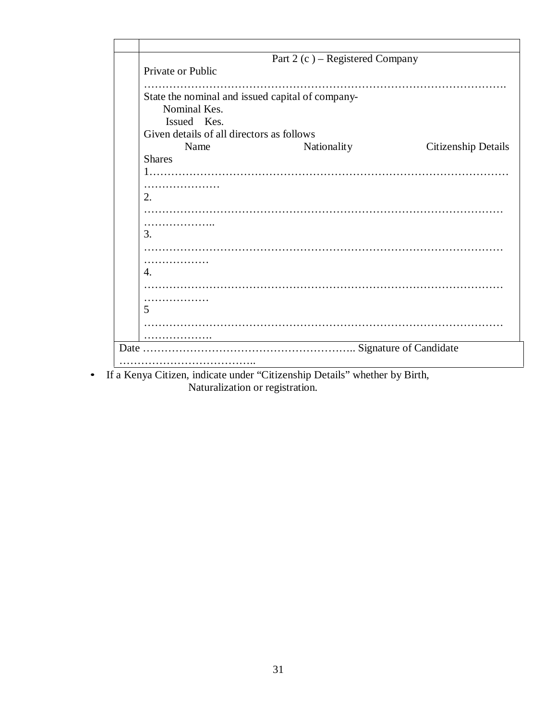| Private or Public<br>State the nominal and issued capital of company-<br>Nominal Kes.<br>Issued Kes.<br>Given details of all directors as follows<br>Nationality<br><b>Citizenship Details</b><br>Name<br><b>Shares</b><br>. |  |
|------------------------------------------------------------------------------------------------------------------------------------------------------------------------------------------------------------------------------|--|
|                                                                                                                                                                                                                              |  |
|                                                                                                                                                                                                                              |  |
|                                                                                                                                                                                                                              |  |
|                                                                                                                                                                                                                              |  |
|                                                                                                                                                                                                                              |  |
|                                                                                                                                                                                                                              |  |
|                                                                                                                                                                                                                              |  |
|                                                                                                                                                                                                                              |  |
|                                                                                                                                                                                                                              |  |
|                                                                                                                                                                                                                              |  |
|                                                                                                                                                                                                                              |  |
|                                                                                                                                                                                                                              |  |
|                                                                                                                                                                                                                              |  |
| .<br>3.                                                                                                                                                                                                                      |  |
|                                                                                                                                                                                                                              |  |
|                                                                                                                                                                                                                              |  |
| .                                                                                                                                                                                                                            |  |
|                                                                                                                                                                                                                              |  |
|                                                                                                                                                                                                                              |  |
| .                                                                                                                                                                                                                            |  |
|                                                                                                                                                                                                                              |  |
| .                                                                                                                                                                                                                            |  |
|                                                                                                                                                                                                                              |  |
|                                                                                                                                                                                                                              |  |

• If a Kenya Citizen, indicate under "Citizenship Details" whether by Birth, Naturalization or registration.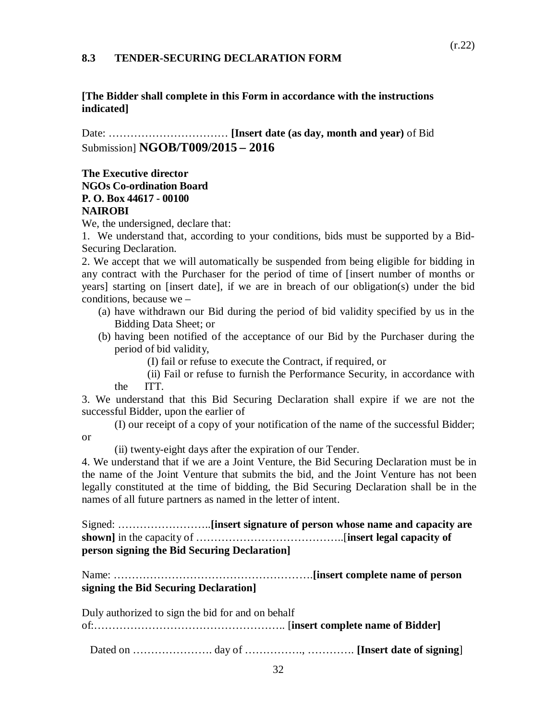#### **8.3 TENDER-SECURING DECLARATION FORM**

#### **[The Bidder shall complete in this Form in accordance with the instructions indicated]**

Date: …………………………… **[Insert date (as day, month and year)** of Bid Submission] **NGOB/T009/2015 – 2016**

### **The Executive director NGOs Co-ordination Board P. O. Box 44617 - 00100 NAIROBI**

We, the undersigned, declare that:

1. We understand that, according to your conditions, bids must be supported by a Bid- Securing Declaration.

2. We accept that we will automatically be suspended from being eligible for bidding in any contract with the Purchaser for the period of time of [insert number of months or years] starting on [insert date], if we are in breach of our obligation(s) under the bid conditions, because we –

- (a) have withdrawn our Bid during the period of bid validity specified by us in the Bidding Data Sheet; or
- (b) having been notified of the acceptance of our Bid by the Purchaser during the period of bid validity,

(I) fail or refuse to execute the Contract, if required, or

(ii) Fail or refuse to furnish the Performance Security, in accordance with the ITT.

3. We understand that this Bid Securing Declaration shall expire if we are not the successful Bidder, upon the earlier of

(I) our receipt of a copy of your notification of the name of the successful Bidder; or

(ii) twenty-eight days after the expiration of our Tender.

4. We understand that if we are a Joint Venture, the Bid Securing Declaration must be in the name of the Joint Venture that submits the bid, and the Joint Venture has not been legally constituted at the time of bidding, the Bid Securing Declaration shall be in the names of all future partners as named in the letter of intent.

Signed: ……………………..**[insert signature of person whose name and capacity are shown]** in the capacity of …………………………………..[**insert legal capacity of person signing the Bid Securing Declaration]**

Name: ……………………………………………….**[insert complete name of person signing the Bid Securing Declaration]**

Duly authorized to sign the bid for and on behalf

of:…………………………………………….. [**insert complete name of Bidder]**

Dated on …………………. day of ……………., …………. **[Insert date of signing**]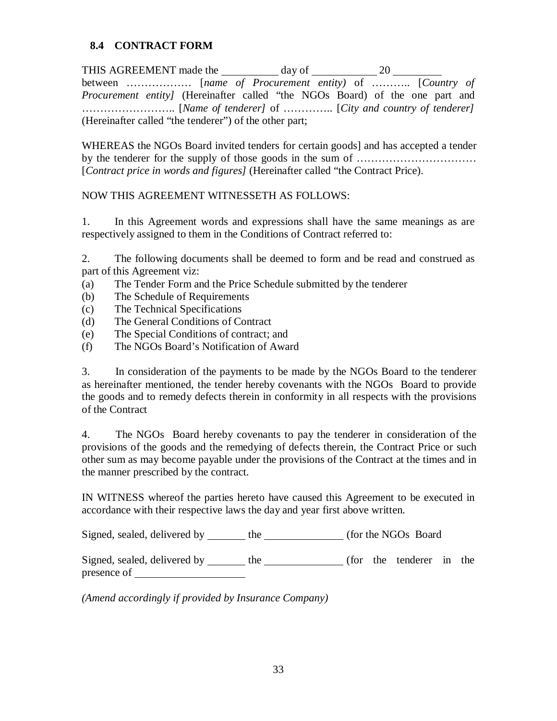## **8.4 CONTRACT FORM**

THIS AGREEMENT made the day of 20 between ……………… [*name of Procurement entity)* of ……….. [*Country of Procurement entity]* (Hereinafter called "the NGOs Board) of the one part and …………………….. [*Name of tenderer]* of ………….. [*City and country of tenderer]* (Hereinafter called "the tenderer") of the other part;

WHEREAS the NGOs Board invited tenders for certain goods] and has accepted a tender by the tenderer for the supply ofthose goods in the sum of …………………………… [*Contract price in words and figures]* (Hereinafter called "the Contract Price).

## NOW THIS AGREEMENT WITNESSETH AS FOLLOWS:

1. In this Agreement words and expressions shall have the same meanings as are respectively assigned to them in the Conditions of Contract referred to:

2. The following documents shall be deemed to form and be read and construed as part of this Agreement viz:

- (a) The Tender Form and the Price Schedule submitted by the tenderer
- (b) The Schedule of Requirements
- (c) The Technical Specifications
- (d) The General Conditions of Contract
- (e) The Special Conditions of contract; and
- (f) The NGOs Board's Notification of Award

3. In consideration ofthe payments to be made by the NGOs Board to the tenderer as hereinafter mentioned, the tender hereby covenants with the NGOs Board to provide the goods and to remedy defects therein in conformity in all respects with the provisions of the Contract

4. The NGOs Board hereby covenants to pay the tenderer in consideration of the provisions of the goods and the remedying of defects therein, the Contract Price or such other sum as may become payable under the provisions of the Contract at the times and in the manner prescribed by the contract.

IN WITNESS whereof the parties hereto have caused this Agreement to be executed in accordance with their respective laws the day and year first above written.

Signed, sealed, delivered by the (for the NGOs Board)

Signed, sealed, delivered by \_\_\_\_\_\_ the \_\_\_\_\_\_\_\_\_\_\_\_ (for the tenderer in the presence of

*(Amend accordingly if provided by Insurance Company)*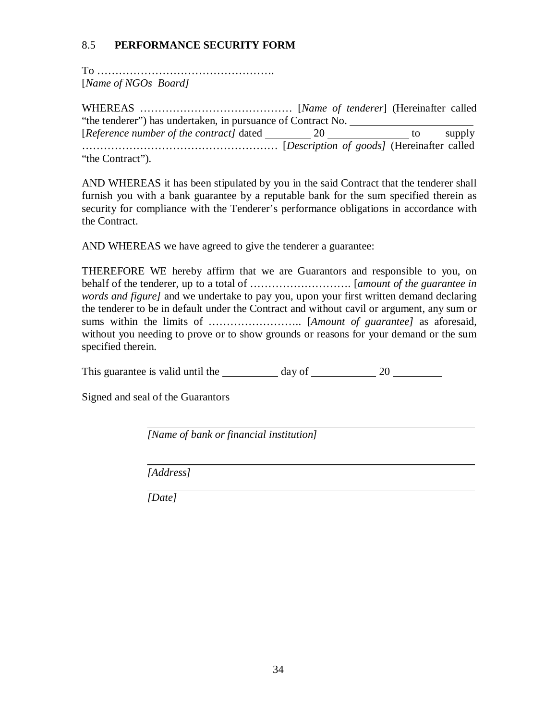## 8.5 **PERFORMANCE SECURITY FORM**

To …………………………………………. [*Name of NGOs Board]*

WHEREAS …………………………………… [*Name of tenderer*] (Hereinafter called "the tenderer") has undertaken, in pursuance of Contract No. [*Reference number of the contract*] dated 20 to supply ……………………………………………… [*Description of goods]* (Hereinafter called

"the Contract").

AND WHEREAS it has been stipulated by you in the said Contract that the tenderer shall furnish you with a bank guarantee by a reputable bank for the sum specified therein as security for compliance with the Tenderer's performance obligations in accordance with the Contract.

AND WHEREAS we have agreed to give the tenderer a guarantee:

THEREFORE WE hereby affirm that we are Guarantors and responsible to you, on behalf of the tenderer, up to a total of ………………………. [*amount of the guarantee in words and figure]* and we undertake to pay you, upon your first written demand declaring the tenderer to be in default under the Contract and without cavil or argument, any sum or sums within the limits of …………………….. [*Amount of guarantee]* as aforesaid, without you needing to prove or to show grounds or reasons for your demand or the sum specified therein.

This guarantee is valid until the day of 20

Signed and seal of the Guarantors

*[Name of bank or financial institution]*

*[Address]*

*[Date]*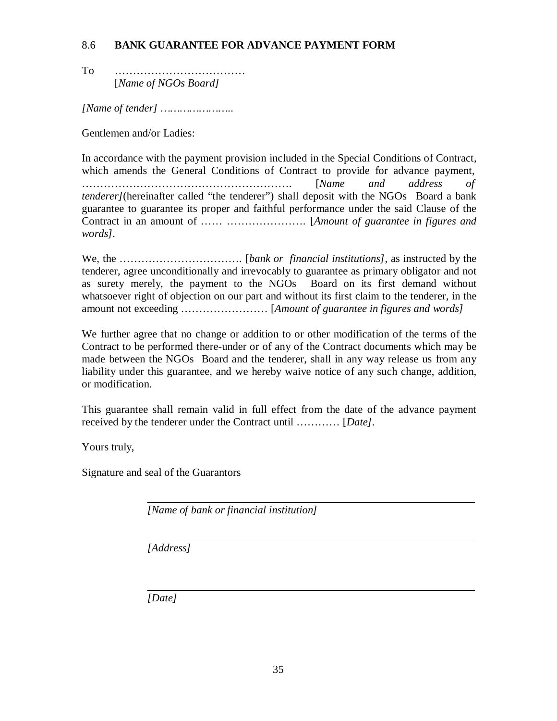## 8.6 **BANK GUARANTEE FOR ADVANCE PAYMENT FORM**

To ……………………………… [*Name of NGOs Board]*

*[Name of tender] …………………..*

Gentlemen and/or Ladies:

In accordance with the payment provision included in the Special Conditions of Contract, which amends the General Conditions of Contract to provide for advance payment, …………………………………………………. [*Name and address of tenderer]*(hereinafter called "the tenderer") shall deposit with the NGOs Board a bank guarantee to guarantee its proper and faithful performance under the said Clause of the Contract in an amount of …… …………………. [*Amount of guarantee in figures and words].*

We, the ……………………………. [*bank or financial institutions]*, as instructed by the tenderer, agree unconditionally and irrevocably to guarantee as primary obligator and not as surety merely, the payment to the NGOs Board on its first demand without whatsoever right of objection on our part and without its first claim to the tenderer, in the amount not exceeding …………………… [*Amount of guarantee in figures and words]*

We further agree that no change or addition to or other modification of the terms of the Contract to be performed there-under or of any of the Contract documents which may be made between the NGOs Board and the tenderer, shall in any way release us from any liability under this guarantee, and we hereby waive notice of any such change, addition, or modification.

This guarantee shall remain valid in full effect from the date of the advance payment received by the tenderer under the Contract until ………… [*Date]*.

Yours truly,

Signature and seal of the Guarantors

*[Name of bank or financial institution]*

*[Address]*

*[Date]*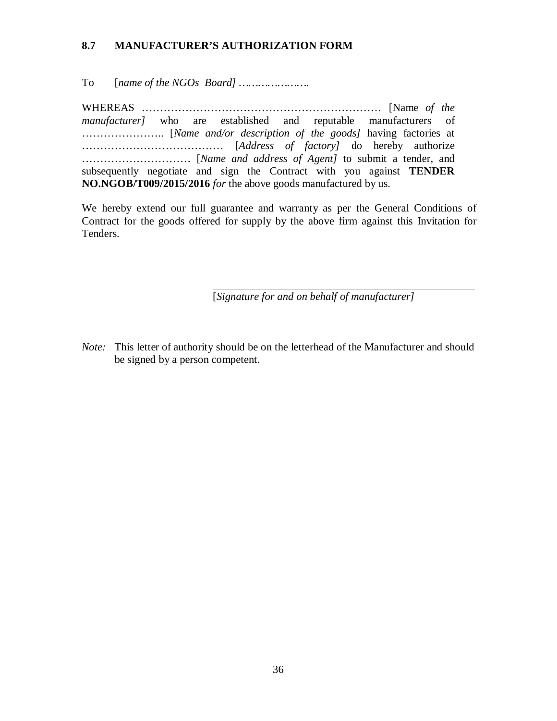## **8.7 MANUFACTURER'S AUTHORIZATION FORM**

To [*name of the NGOs Board] ………………….*

WHEREAS ………………………………………………………… [Name *of the manufacturer]* who are established and reputable manufacturers of ………………….. [*Name and/or description of the goods]* having factories at ………………………………… [*Address of factory]* do hereby authorize ………………………… [*Name and address of Agent]* to submit a tender, and subsequently negotiate and sign the Contract with you against **TENDER NO.NGOB/T009/2015/2016** *for* the above goods manufactured by us.

We hereby extend our full guarantee and warranty as per the General Conditions of Contract for the goods offered for supply by the above firm against this Invitation for Tenders.

[*Signature for and on behalf of manufacturer]*

*Note:* This letter of authority should be on the letterhead of the Manufacturer and should be signed by a person competent.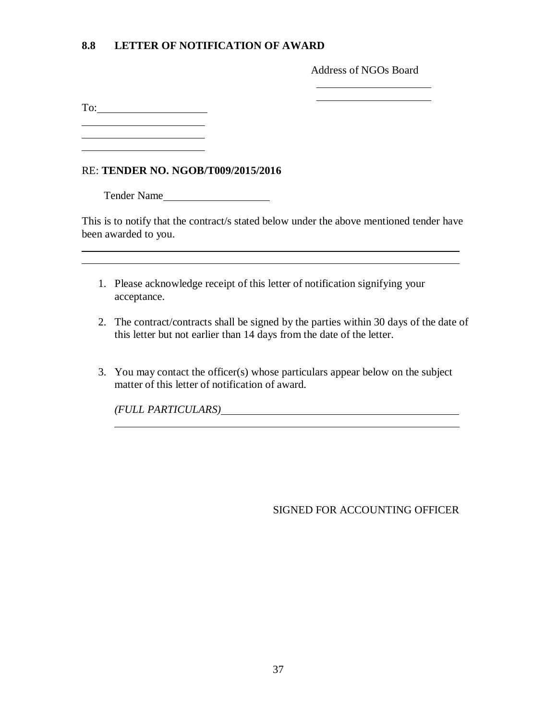## **8.8 LETTER OF NOTIFICATION OF AWARD**

Address of NGOs Board

To:

<u> 1980 - Johann Barbara, martxa al</u>

## RE: **TENDER NO. NGOB/T009/2015/2016**

Tender Name

This is to notify that the contract/s stated below under the above mentioned tender have been awarded to you.

- 1. Please acknowledge receipt of this letter of notification signifying your acceptance.
- 2. The contract/contracts shall be signed by the parties within 30 days of the date of this letter but not earlier than 14 days from the date of the letter.
- 3. You may contact the officer(s) whose particulars appear below on the subject matter of this letter of notification of award.

*(FULL PARTICULARS)*

SIGNED FOR ACCOUNTING OFFICER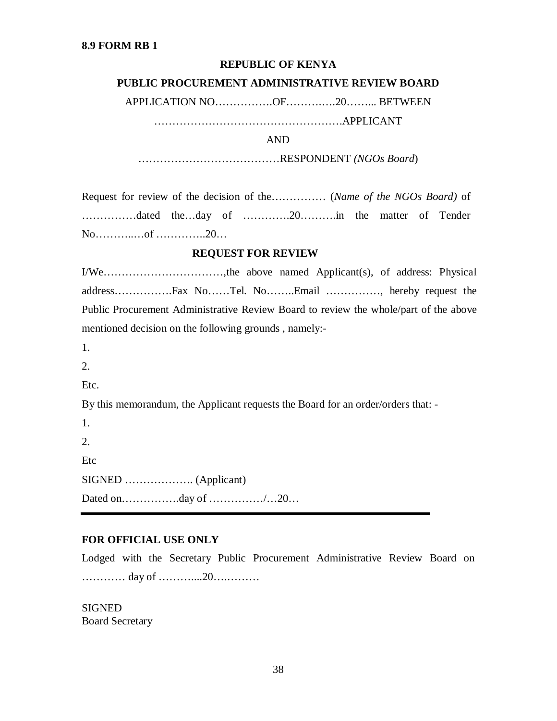#### **REPUBLIC OF KENYA**

#### **PUBLIC PROCUREMENT ADMINISTRATIVE REVIEW BOARD**

APPLICATION NO…………….OF……….….20……... BETWEEN

…………………………………………….APPLICANT

AND

…………………………………RESPONDENT *(NGOs Board*)

Request for review of the decision of the………… (*Name of the NGOs Board*) of ……………dated the…day of ………….20……….in the matter of Tender No………..…of …………..20…

#### **REQUEST FOR REVIEW**

I/We……………………………,the above named Applicant(s), of address: Physical address…………….Fax No……Tel. No……..Email ……………, hereby request the Public Procurement Administrative Review Board to review the whole/part of the above mentioned decision on the following grounds , namely:-

- 1.
- 2.
- Etc.

By this memorandum, the Applicant requests the Board for an order/orders that: -

1. 2. Etc SIGNED ………………. (Applicant) Dated on…………….day of ……………/…20…

#### **FOR OFFICIAL USE ONLY**

Lodged with the Secretary Public Procurement Administrative Review Board on ………… day of ………....20….………

**SIGNED** Board Secretary